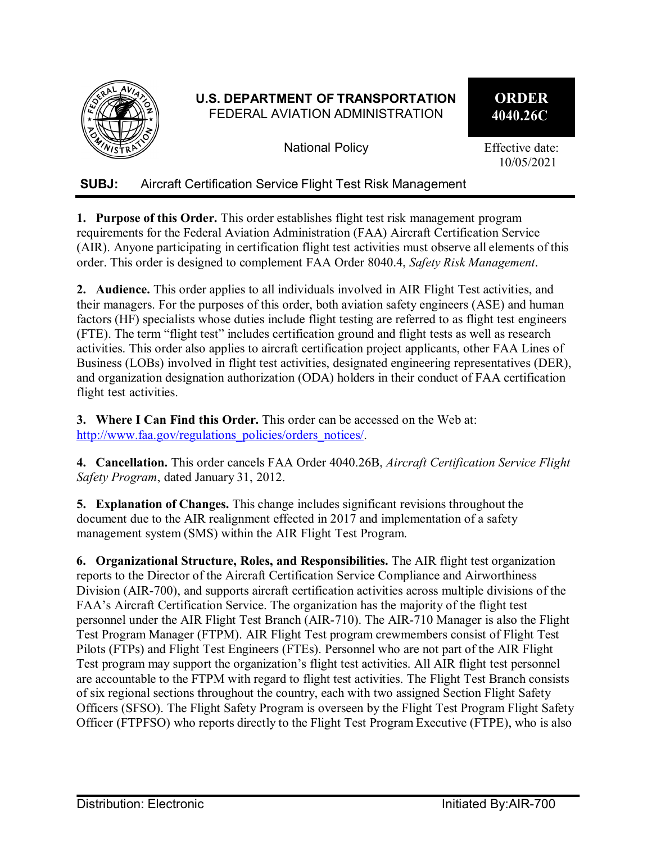

# **U.S. DEPARTMENT OF TRANSPORTATION** FEDERAL AVIATION ADMINISTRATION

National Policy **Effective date:** 

**4040.26C**

10/05/2021

**ORDER**

# **SUBJ:** Aircraft Certification Service Flight Test Risk Management

**1. Purpose of this Order.** This order establishes flight test risk management program requirements for the Federal Aviation Administration (FAA) Aircraft Certification Service (AIR). Anyone participating in certification flight test activities must observe all elements of this order. This order is designed to complement FAA Order 8040.4, *Safety Risk Management*.

**2. Audience.** This order applies to all individuals involved in AIR Flight Test activities, and their managers. For the purposes of this order, both aviation safety engineers (ASE) and human factors (HF) specialists whose duties include flight testing are referred to as flight test engineers (FTE). The term "flight test" includes certification ground and flight tests as well as research activities. This order also applies to aircraft certification project applicants, other FAA Lines of Business (LOBs) involved in flight test activities, designated engineering representatives (DER), and organization designation authorization (ODA) holders in their conduct of FAA certification flight test activities.

**3. Where I Can Find this Order.** This order can be accessed on the Web at: [http://www.faa.gov/regulations\\_policies/orders\\_notices/.](http://www.faa.gov/regulations_policies/orders_notices/)

**4. Cancellation.** This order cancels FAA Order 4040.26B, *Aircraft Certification Service Flight Safety Program*, dated January 31, 2012.

**5. Explanation of Changes.** This change includes significant revisions throughout the document due to the AIR realignment effected in 2017 and implementation of a safety management system (SMS) within the AIR Flight Test Program.

**6. Organizational Structure, Roles, and Responsibilities.** The AIR flight test organization reports to the Director of the Aircraft Certification Service Compliance and Airworthiness Division (AIR-700), and supports aircraft certification activities across multiple divisions of the FAA's Aircraft Certification Service. The organization has the majority of the flight test personnel under the AIR Flight Test Branch (AIR-710). The AIR-710 Manager is also the Flight Test Program Manager (FTPM). AIR Flight Test program crewmembers consist of Flight Test Pilots (FTPs) and Flight Test Engineers (FTEs). Personnel who are not part of the AIR Flight Test program may support the organization's flight test activities. All AIR flight test personnel are accountable to the FTPM with regard to flight test activities. The Flight Test Branch consists of six regional sections throughout the country, each with two assigned Section Flight Safety Officers (SFSO). The Flight Safety Program is overseen by the Flight Test Program Flight Safety Officer (FTPFSO) who reports directly to the Flight Test Program Executive (FTPE), who is also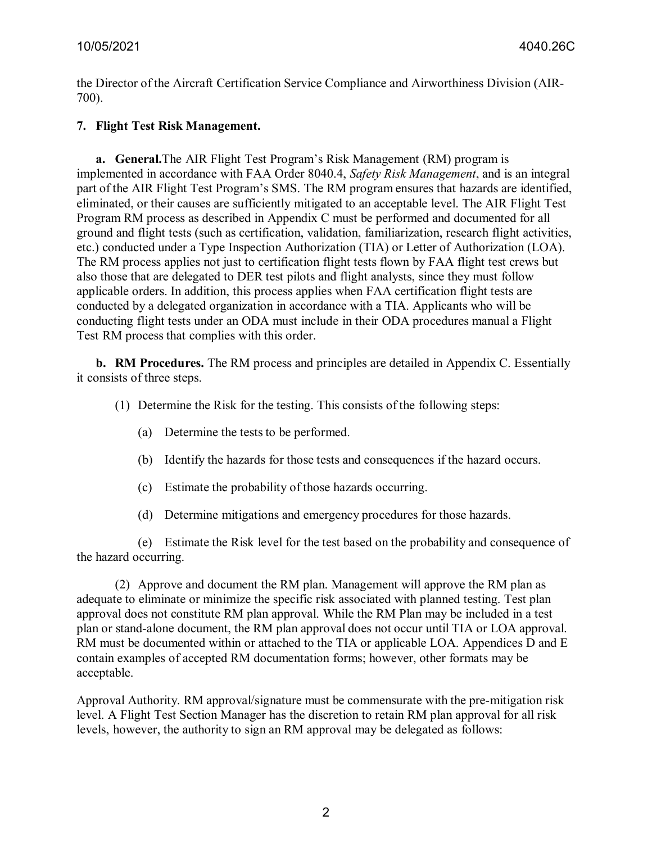the Director of the Aircraft Certification Service Compliance and Airworthiness Division (AIR-700).

# **7. Flight Test Risk Management.**

**a. General.**The AIR Flight Test Program's Risk Management (RM) program is implemented in accordance with FAA Order 8040.4, *Safety Risk Management*, and is an integral part of the AIR Flight Test Program's SMS. The RM program ensures that hazards are identified, eliminated, or their causes are sufficiently mitigated to an acceptable level. The AIR Flight Test Program RM process as described in Appendix C must be performed and documented for all ground and flight tests (such as certification, validation, familiarization, research flight activities, etc.) conducted under a Type Inspection Authorization (TIA) or Letter of Authorization (LOA). The RM process applies not just to certification flight tests flown by FAA flight test crews but also those that are delegated to DER test pilots and flight analysts, since they must follow applicable orders. In addition, this process applies when FAA certification flight tests are conducted by a delegated organization in accordance with a TIA. Applicants who will be conducting flight tests under an ODA must include in their ODA procedures manual a Flight Test RM process that complies with this order.

**b. RM Procedures.** The RM process and principles are detailed in Appendix C. Essentially it consists of three steps.

(1) Determine the Risk for the testing. This consists of the following steps:

- (a) Determine the tests to be performed.
- (b) Identify the hazards for those tests and consequences if the hazard occurs.
- (c) Estimate the probability of those hazards occurring.
- (d) Determine mitigations and emergency procedures for those hazards.

(e) Estimate the Risk level for the test based on the probability and consequence of the hazard occurring.

(2) Approve and document the RM plan. Management will approve the RM plan as adequate to eliminate or minimize the specific risk associated with planned testing. Test plan approval does not constitute RM plan approval. While the RM Plan may be included in a test plan or stand-alone document, the RM plan approval does not occur until TIA or LOA approval. RM must be documented within or attached to the TIA or applicable LOA. Appendices D and E contain examples of accepted RM documentation forms; however, other formats may be acceptable.

Approval Authority. RM approval/signature must be commensurate with the pre-mitigation risk level. A Flight Test Section Manager has the discretion to retain RM plan approval for all risk levels, however, the authority to sign an RM approval may be delegated as follows: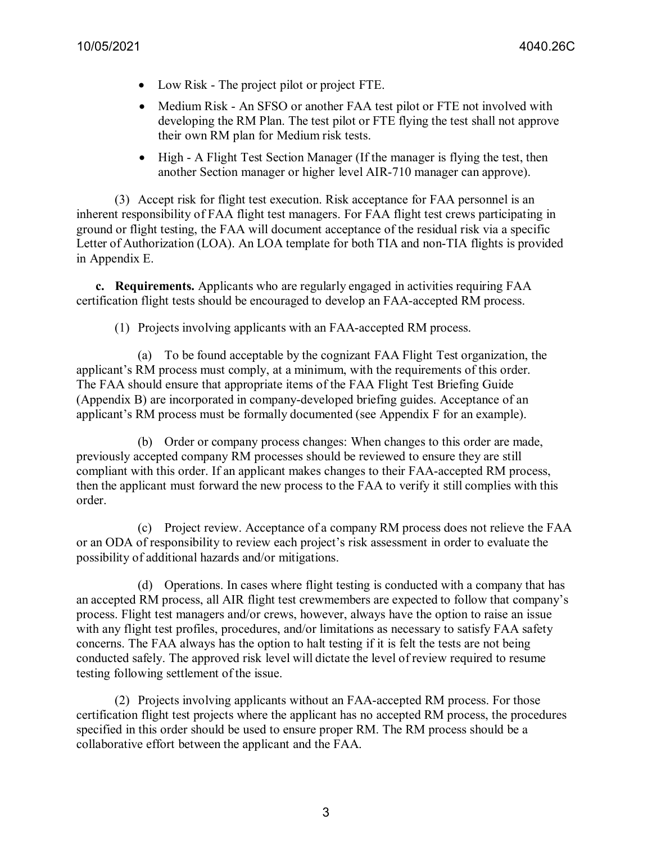- Low Risk The project pilot or project FTE.
- Medium Risk An SFSO or another FAA test pilot or FTE not involved with developing the RM Plan. The test pilot or FTE flying the test shall not approve their own RM plan for Medium risk tests.
- High A Flight Test Section Manager (If the manager is flying the test, then another Section manager or higher level AIR-710 manager can approve).

(3) Accept risk for flight test execution. Risk acceptance for FAA personnel is an inherent responsibility of FAA flight test managers. For FAA flight test crews participating in ground or flight testing, the FAA will document acceptance of the residual risk via a specific Letter of Authorization (LOA). An LOA template for both TIA and non-TIA flights is provided in Appendix E.

**c. Requirements.** Applicants who are regularly engaged in activities requiring FAA certification flight tests should be encouraged to develop an FAA-accepted RM process.

(1) Projects involving applicants with an FAA-accepted RM process.

(a) To be found acceptable by the cognizant FAA Flight Test organization, the applicant's RM process must comply, at a minimum, with the requirements of this order. The FAA should ensure that appropriate items of the FAA Flight Test Briefing Guide (Appendix B) are incorporated in company-developed briefing guides. Acceptance of an applicant's RM process must be formally documented (see Appendix F for an example).

(b) Order or company process changes: When changes to this order are made, previously accepted company RM processes should be reviewed to ensure they are still compliant with this order. If an applicant makes changes to their FAA-accepted RM process, then the applicant must forward the new process to the FAA to verify it still complies with this order.

(c) Project review. Acceptance of a company RM process does not relieve the FAA or an ODA of responsibility to review each project's risk assessment in order to evaluate the possibility of additional hazards and/or mitigations.

(d) Operations. In cases where flight testing is conducted with a company that has an accepted RM process, all AIR flight test crewmembers are expected to follow that company's process. Flight test managers and/or crews, however, always have the option to raise an issue with any flight test profiles, procedures, and/or limitations as necessary to satisfy FAA safety concerns. The FAA always has the option to halt testing if it is felt the tests are not being conducted safely. The approved risk level will dictate the level of review required to resume testing following settlement of the issue.

(2) Projects involving applicants without an FAA-accepted RM process. For those certification flight test projects where the applicant has no accepted RM process, the procedures specified in this order should be used to ensure proper RM. The RM process should be a collaborative effort between the applicant and the FAA.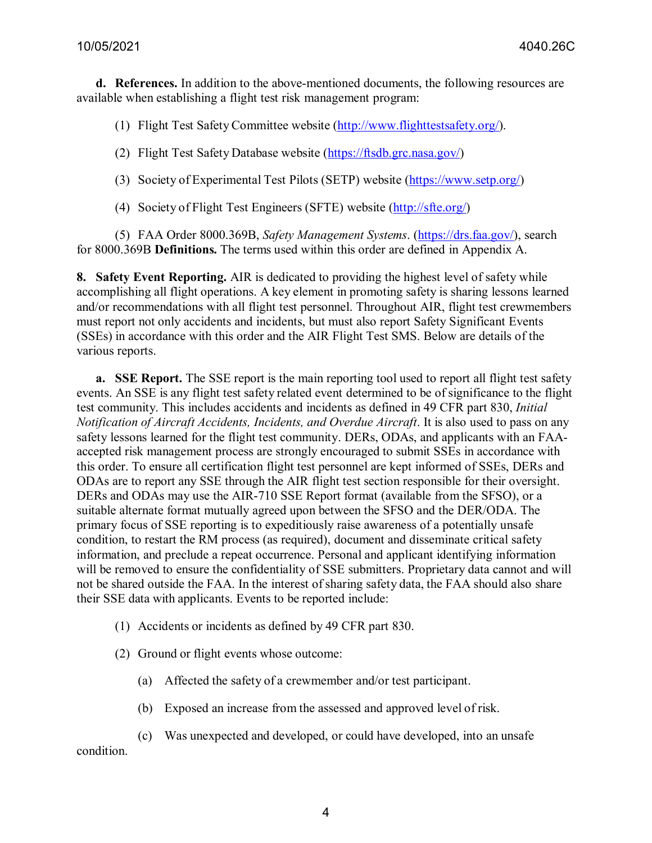**d. References.** In addition to the above-mentioned documents, the following resources are available when establishing a flight test risk management program:

(1) Flight Test SafetyCommittee website [\(http://www.flighttestsafety.org/\)](http://www.flighttestsafety.org/).

(2) Flight Test Safety Database website [\(https://ftsdb.grc.nasa.gov/\)](https://ftsdb.grc.nasa.gov/)

(3) Society of Experimental Test Pilots (SETP) website [\(https://www.setp.org/\)](https://www.setp.org/)

(4) Society of Flight Test Engineers (SFTE) website [\(http://sfte.org/\)](http://sfte.org/)

(5) FAA Order 8000.369B, *Safety Management Systems*. [\(https://drs.faa.gov/\)](https://drs.faa.gov/), search for 8000.369B **Definitions.** The terms used within this order are defined in Appendix A.

**8. Safety Event Reporting.** AIR is dedicated to providing the highest level of safety while accomplishing all flight operations. A key element in promoting safety is sharing lessons learned and/or recommendations with all flight test personnel. Throughout AIR, flight test crewmembers must report not only accidents and incidents, but must also report Safety Significant Events (SSEs) in accordance with this order and the AIR Flight Test SMS. Below are details of the various reports.

**a. SSE Report.** The SSE report is the main reporting tool used to report all flight test safety events. An SSE is any flight test safety related event determined to be of significance to the flight test community. This includes accidents and incidents as defined in 49 CFR part 830, *Initial Notification of Aircraft Accidents, Incidents, and Overdue Aircraft.* It is also used to pass on any safety lessons learned for the flight test community. DERs, ODAs, and applicants with an FAAaccepted risk management process are strongly encouraged to submit SSEs in accordance with this order. To ensure all certification flight test personnel are kept informed of SSEs, DERs and ODAs are to report any SSE through the AIR flight test section responsible for their oversight. DERs and ODAs may use the AIR-710 SSE Report format (available from the SFSO), or a suitable alternate format mutually agreed upon between the SFSO and the DER/ODA. The primary focus of SSE reporting is to expeditiously raise awareness of a potentially unsafe condition, to restart the RM process (as required), document and disseminate critical safety information, and preclude a repeat occurrence. Personal and applicant identifying information will be removed to ensure the confidentiality of SSE submitters. Proprietary data cannot and will not be shared outside the FAA. In the interest of sharing safety data, the FAA should also share their SSE data with applicants. Events to be reported include:

- (1) Accidents or incidents as defined by 49 CFR part 830.
- (2) Ground or flight events whose outcome:
	- (a) Affected the safety of a crewmember and/or test participant.
	- (b) Exposed an increase from the assessed and approved level of risk.
	- (c) Was unexpected and developed, or could have developed, into an unsafe

condition.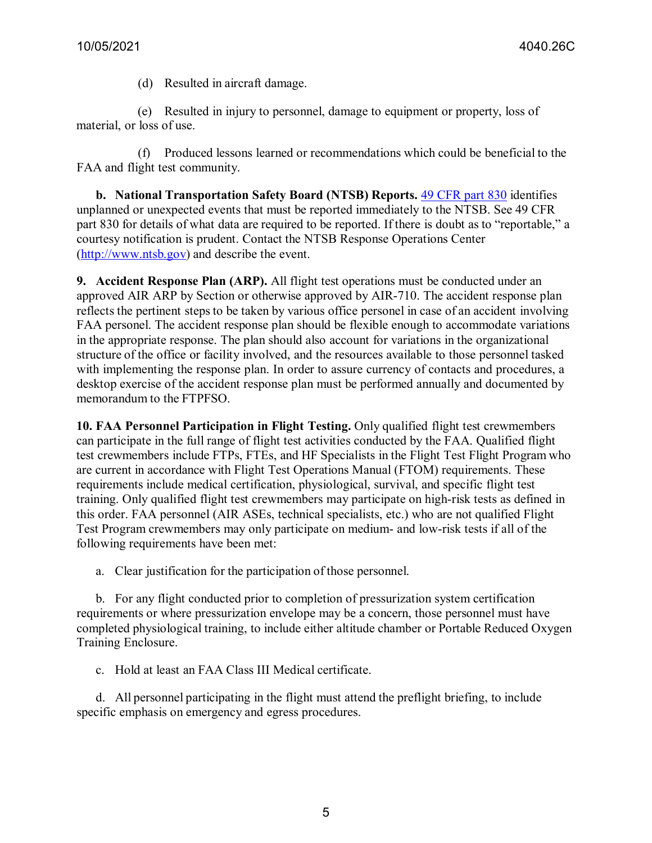(d) Resulted in aircraft damage.

(e) Resulted in injury to personnel, damage to equipment or property, loss of material, or loss of use.

(f) Produced lessons learned or recommendations which could be beneficial to the FAA and flight test community.

**b. National Transportation Safety Board (NTSB) Reports.** [49 CFR part 830](https://www.ecfr.gov/cgi-bin/text-idx?SID=b64b6fbff8d815040bd0873db9fb528f&mc=true&node=se49.7.830_15&rgn=div8) identifies unplanned or unexpected events that must be reported immediately to the NTSB. See 49 CFR part 830 for details of what data are required to be reported. If there is doubt as to "reportable," a courtesy notification is prudent. Contact the NTSB Response Operations Center [\(http://www.ntsb.gov\)](http://www.ntsb.gov/) and describe the event.

**9. Accident Response Plan (ARP).** All flight test operations must be conducted under an approved AIR ARP by Section or otherwise approved by AIR-710. The accident response plan reflects the pertinent steps to be taken by various office personel in case of an accident involving FAA personel. The accident response plan should be flexible enough to accommodate variations in the appropriate response. The plan should also account for variations in the organizational structure of the office or facility involved, and the resources available to those personnel tasked with implementing the response plan. In order to assure currency of contacts and procedures, a desktop exercise of the accident response plan must be performed annually and documented by memorandum to the FTPFSO.

**10. FAA Personnel Participation in Flight Testing.** Only qualified flight test crewmembers can participate in the full range of flight test activities conducted by the FAA. Qualified flight test crewmembers include FTPs, FTEs, and HF Specialists in the Flight Test Flight Program who are current in accordance with Flight Test Operations Manual (FTOM) requirements. These requirements include medical certification, physiological, survival, and specific flight test training. Only qualified flight test crewmembers may participate on high-risk tests as defined in this order. FAA personnel (AIR ASEs, technical specialists, etc.) who are not qualified Flight Test Program crewmembers may only participate on medium- and low-risk tests if all of the following requirements have been met:

a. Clear justification for the participation of those personnel.

b. For any flight conducted prior to completion of pressurization system certification requirements or where pressurization envelope may be a concern, those personnel must have completed physiological training, to include either altitude chamber or Portable Reduced Oxygen Training Enclosure.

c. Hold at least an FAA Class III Medical certificate.

d. All personnel participating in the flight must attend the preflight briefing, to include specific emphasis on emergency and egress procedures.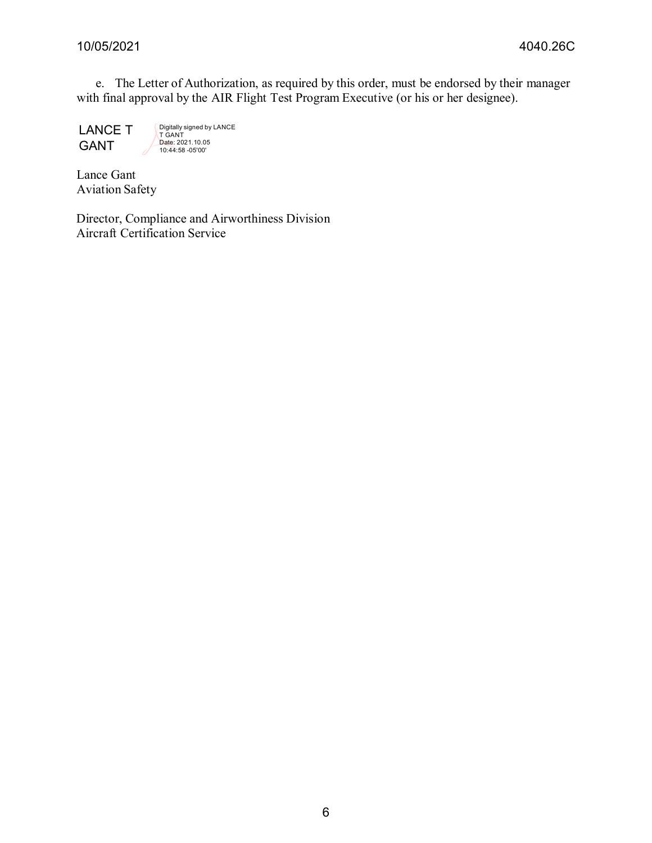e. The Letter of Authorization, as required by this order, must be endorsed by their manager with final approval by the AIR Flight Test Program Executive (or his or her designee).

LANCE T GANT Digitally signed by LANCE T GANT Date: 2021.10.05 10:44:58 -05'00'

Lance Gant Aviation Safety

Director, Compliance and Airworthiness Division Aircraft Certification Service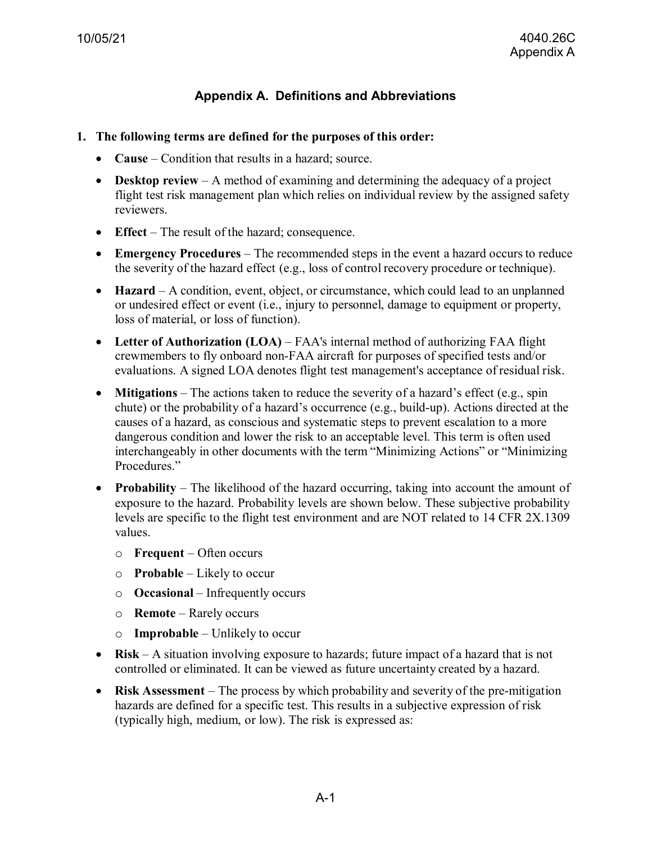# **Appendix A. Definitions and Abbreviations**

#### **1. The following terms are defined for the purposes of this order:**

- **Cause** Condition that results in a hazard; source.
- **Desktop review** A method of examining and determining the adequacy of a project flight test risk management plan which relies on individual review by the assigned safety reviewers.
- **Effect** The result of the hazard; consequence.
- **Emergency Procedures** The recommended steps in the event a hazard occurs to reduce the severity of the hazard effect (e.g., loss of control recovery procedure or technique).
- **Hazard** A condition, event, object, or circumstance, which could lead to an unplanned or undesired effect or event (i.e., injury to personnel, damage to equipment or property, loss of material, or loss of function).
- Letter of Authorization (LOA) FAA's internal method of authorizing FAA flight crewmembers to fly onboard non-FAA aircraft for purposes of specified tests and/or evaluations. A signed LOA denotes flight test management's acceptance of residual risk.
- **Mitigations** The actions taken to reduce the severity of a hazard's effect (e.g., spin chute) or the probability of a hazard's occurrence (e.g., build-up). Actions directed at the causes of a hazard, as conscious and systematic steps to prevent escalation to a more dangerous condition and lower the risk to an acceptable level. This term is often used interchangeably in other documents with the term "Minimizing Actions" or "Minimizing Procedures."
- **Probability** The likelihood of the hazard occurring, taking into account the amount of exposure to the hazard. Probability levels are shown below. These subjective probability levels are specific to the flight test environment and are NOT related to 14 CFR 2X.1309 values.
	- o **Frequent** Often occurs
	- o **Probable** Likely to occur
	- o **Occasional** Infrequently occurs
	- o **Remote** Rarely occurs
	- o **Improbable**  Unlikely to occur
- **Risk** A situation involving exposure to hazards; future impact of a hazard that is not controlled or eliminated. It can be viewed as future uncertainty created by a hazard.
- **Risk Assessment** The process by which probability and severity of the pre-mitigation hazards are defined for a specific test. This results in a subjective expression of risk (typically high, medium, or low). The risk is expressed as: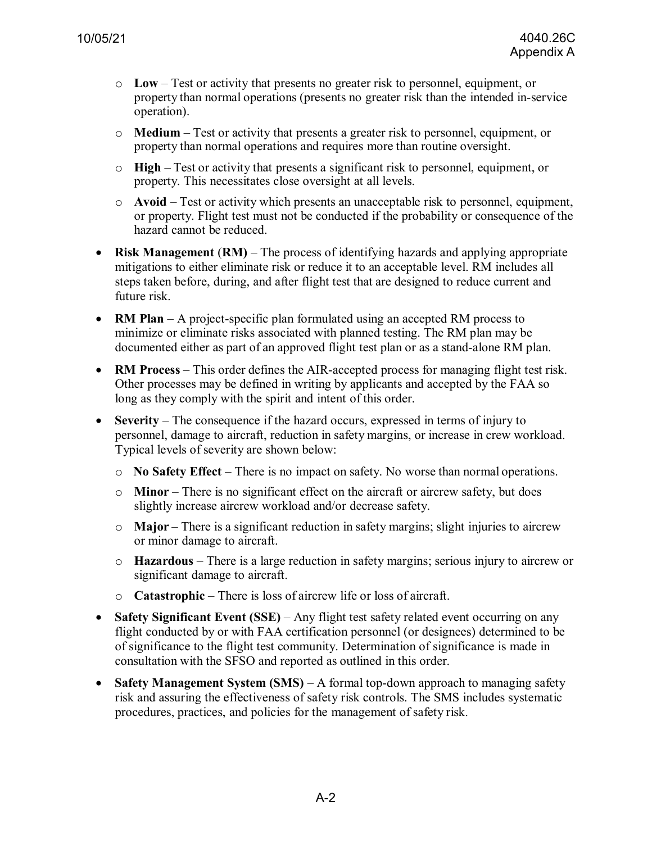- o **Low**  Test or activity that presents no greater risk to personnel, equipment, or property than normal operations (presents no greater risk than the intended in-service operation).
- o **Medium**  Test or activity that presents a greater risk to personnel, equipment, or property than normal operations and requires more than routine oversight.
- o **High** Test or activity that presents a significant risk to personnel, equipment, or property. This necessitates close oversight at all levels.
- o **Avoid**  Test or activity which presents an unacceptable risk to personnel, equipment, or property. Flight test must not be conducted if the probability or consequence of the hazard cannot be reduced.
- **Risk Management (RM)** The process of identifying hazards and applying appropriate mitigations to either eliminate risk or reduce it to an acceptable level. RM includes all steps taken before, during, and after flight test that are designed to reduce current and future risk.
- **RM Plan** A project-specific plan formulated using an accepted RM process to minimize or eliminate risks associated with planned testing. The RM plan may be documented either as part of an approved flight test plan or as a stand-alone RM plan.
- **RM Process** This order defines the AIR-accepted process for managing flight test risk. Other processes may be defined in writing by applicants and accepted by the FAA so long as they comply with the spirit and intent of this order.
- **Severity** The consequence if the hazard occurs, expressed in terms of injury to personnel, damage to aircraft, reduction in safety margins, or increase in crew workload. Typical levels of severity are shown below:
	- o **No Safety Effect** There is no impact on safety. No worse than normal operations.
	- o **Minor**  There is no significant effect on the aircraft or aircrew safety, but does slightly increase aircrew workload and/or decrease safety.
	- o **Major** There is a significant reduction in safety margins; slight injuries to aircrew or minor damage to aircraft.
	- o **Hazardous**  There is a large reduction in safety margins; serious injury to aircrew or significant damage to aircraft.
	- o **Catastrophic** There is loss of aircrew life or loss of aircraft.
- **Safety Significant Event (SSE)** Any flight test safety related event occurring on any flight conducted by or with FAA certification personnel (or designees) determined to be of significance to the flight test community. Determination of significance is made in consultation with the SFSO and reported as outlined in this order.
- **Safety Management System (SMS)** A formal top-down approach to managing safety risk and assuring the effectiveness of safety risk controls. The SMS includes systematic procedures, practices, and policies for the management of safety risk.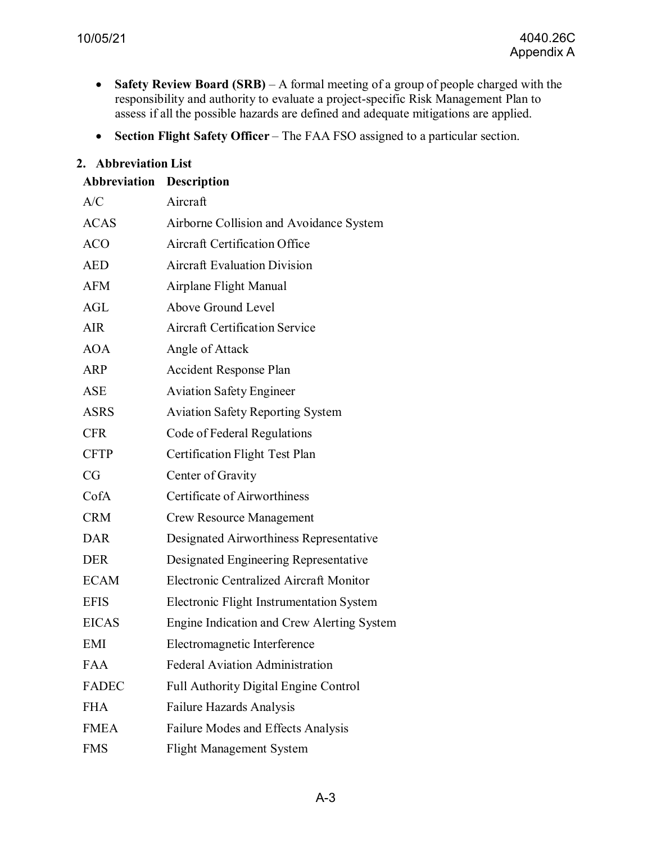- **Safety Review Board (SRB)** A formal meeting of a group of people charged with the responsibility and authority to evaluate a project-specific Risk Management Plan to assess if all the possible hazards are defined and adequate mitigations are applied.
- **Section Flight Safety Officer** The FAA FSO assigned to a particular section.

## **2. Abbreviation List**

#### **Abbreviation Description**  $\Delta/C$   $\Delta$   $\Delta$

| A/C          | Aircraft                                       |  |  |  |
|--------------|------------------------------------------------|--|--|--|
| <b>ACAS</b>  | Airborne Collision and Avoidance System        |  |  |  |
| <b>ACO</b>   | Aircraft Certification Office                  |  |  |  |
| <b>AED</b>   | <b>Aircraft Evaluation Division</b>            |  |  |  |
| <b>AFM</b>   | Airplane Flight Manual                         |  |  |  |
| AGL          | Above Ground Level                             |  |  |  |
| <b>AIR</b>   | <b>Aircraft Certification Service</b>          |  |  |  |
| <b>AOA</b>   | Angle of Attack                                |  |  |  |
| <b>ARP</b>   | <b>Accident Response Plan</b>                  |  |  |  |
| ASE          | <b>Aviation Safety Engineer</b>                |  |  |  |
| <b>ASRS</b>  | <b>Aviation Safety Reporting System</b>        |  |  |  |
| <b>CFR</b>   | Code of Federal Regulations                    |  |  |  |
| <b>CFTP</b>  | Certification Flight Test Plan                 |  |  |  |
| CG           | Center of Gravity                              |  |  |  |
| CofA         | Certificate of Airworthiness                   |  |  |  |
| <b>CRM</b>   | <b>Crew Resource Management</b>                |  |  |  |
| <b>DAR</b>   | Designated Airworthiness Representative        |  |  |  |
| <b>DER</b>   | Designated Engineering Representative          |  |  |  |
| <b>ECAM</b>  | <b>Electronic Centralized Aircraft Monitor</b> |  |  |  |
| <b>EFIS</b>  | Electronic Flight Instrumentation System       |  |  |  |
| <b>EICAS</b> | Engine Indication and Crew Alerting System     |  |  |  |
| EMI          | Electromagnetic Interference                   |  |  |  |
| FAA          | <b>Federal Aviation Administration</b>         |  |  |  |
| <b>FADEC</b> | Full Authority Digital Engine Control          |  |  |  |
| <b>FHA</b>   | Failure Hazards Analysis                       |  |  |  |
| <b>FMEA</b>  | Failure Modes and Effects Analysis             |  |  |  |
| <b>FMS</b>   | <b>Flight Management System</b>                |  |  |  |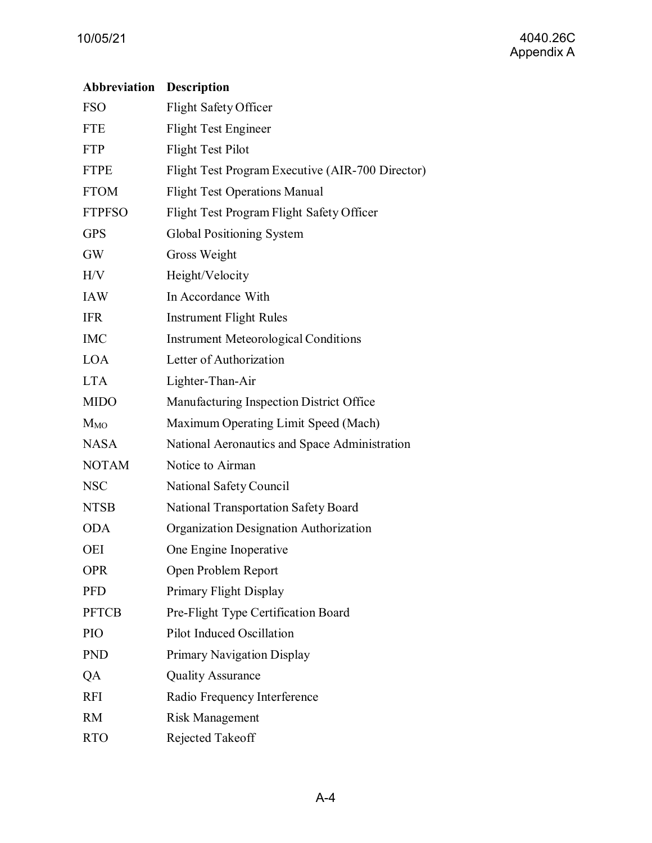| <b>Abbreviation Description</b> |                                                  |  |  |  |
|---------------------------------|--------------------------------------------------|--|--|--|
| <b>FSO</b>                      | Flight Safety Officer                            |  |  |  |
| <b>FTE</b>                      | <b>Flight Test Engineer</b>                      |  |  |  |
| <b>FTP</b>                      | <b>Flight Test Pilot</b>                         |  |  |  |
| <b>FTPE</b>                     | Flight Test Program Executive (AIR-700 Director) |  |  |  |
| <b>FTOM</b>                     | <b>Flight Test Operations Manual</b>             |  |  |  |
| <b>FTPFSO</b>                   | Flight Test Program Flight Safety Officer        |  |  |  |
| <b>GPS</b>                      | Global Positioning System                        |  |  |  |
| <b>GW</b>                       | Gross Weight                                     |  |  |  |
| H/V                             | Height/Velocity                                  |  |  |  |
| <b>IAW</b>                      | In Accordance With                               |  |  |  |
| <b>IFR</b>                      | <b>Instrument Flight Rules</b>                   |  |  |  |
| <b>IMC</b>                      | <b>Instrument Meteorological Conditions</b>      |  |  |  |
| <b>LOA</b>                      | Letter of Authorization                          |  |  |  |
| <b>LTA</b>                      | Lighter-Than-Air                                 |  |  |  |
| <b>MIDO</b>                     | Manufacturing Inspection District Office         |  |  |  |
| $M_{MO}$                        | Maximum Operating Limit Speed (Mach)             |  |  |  |
| <b>NASA</b>                     | National Aeronautics and Space Administration    |  |  |  |
| <b>NOTAM</b>                    | Notice to Airman                                 |  |  |  |
| <b>NSC</b>                      | National Safety Council                          |  |  |  |
| <b>NTSB</b>                     | National Transportation Safety Board             |  |  |  |
| <b>ODA</b>                      | Organization Designation Authorization           |  |  |  |
| OEI                             | One Engine Inoperative                           |  |  |  |
| <b>OPR</b>                      | Open Problem Report                              |  |  |  |
| <b>PFD</b>                      | Primary Flight Display                           |  |  |  |
| <b>PFTCB</b>                    | Pre-Flight Type Certification Board              |  |  |  |
| PIO                             | <b>Pilot Induced Oscillation</b>                 |  |  |  |
| <b>PND</b>                      | Primary Navigation Display                       |  |  |  |
| QA                              | <b>Quality Assurance</b>                         |  |  |  |
| <b>RFI</b>                      | Radio Frequency Interference                     |  |  |  |
| <b>RM</b>                       | <b>Risk Management</b>                           |  |  |  |
| <b>RTO</b>                      | Rejected Takeoff                                 |  |  |  |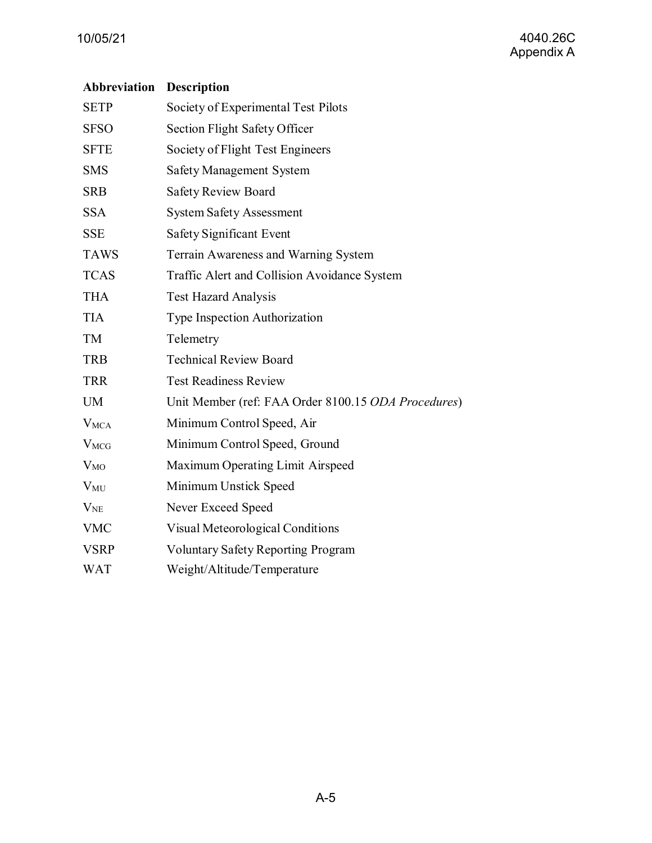| Abbreviation     | <b>Description</b>                                  |  |  |  |  |
|------------------|-----------------------------------------------------|--|--|--|--|
| <b>SETP</b>      | Society of Experimental Test Pilots                 |  |  |  |  |
| <b>SFSO</b>      | Section Flight Safety Officer                       |  |  |  |  |
| <b>SFTE</b>      | Society of Flight Test Engineers                    |  |  |  |  |
| <b>SMS</b>       | <b>Safety Management System</b>                     |  |  |  |  |
| <b>SRB</b>       | <b>Safety Review Board</b>                          |  |  |  |  |
| <b>SSA</b>       | <b>System Safety Assessment</b>                     |  |  |  |  |
| <b>SSE</b>       | Safety Significant Event                            |  |  |  |  |
| <b>TAWS</b>      | Terrain Awareness and Warning System                |  |  |  |  |
| <b>TCAS</b>      | Traffic Alert and Collision Avoidance System        |  |  |  |  |
| <b>THA</b>       | <b>Test Hazard Analysis</b>                         |  |  |  |  |
| <b>TIA</b>       | Type Inspection Authorization                       |  |  |  |  |
| <b>TM</b>        | Telemetry                                           |  |  |  |  |
| <b>TRB</b>       | <b>Technical Review Board</b>                       |  |  |  |  |
| <b>TRR</b>       | <b>Test Readiness Review</b>                        |  |  |  |  |
| <b>UM</b>        | Unit Member (ref: FAA Order 8100.15 ODA Procedures) |  |  |  |  |
| V <sub>MCA</sub> | Minimum Control Speed, Air                          |  |  |  |  |
| $V_{MCG}$        | Minimum Control Speed, Ground                       |  |  |  |  |
| $V_{MO}$         | Maximum Operating Limit Airspeed                    |  |  |  |  |
| $V_{MU}$         | Minimum Unstick Speed                               |  |  |  |  |
| $V_{NE}$         | Never Exceed Speed                                  |  |  |  |  |
| <b>VMC</b>       | Visual Meteorological Conditions                    |  |  |  |  |
| <b>VSRP</b>      | <b>Voluntary Safety Reporting Program</b>           |  |  |  |  |
| <b>WAT</b>       | Weight/Altitude/Temperature                         |  |  |  |  |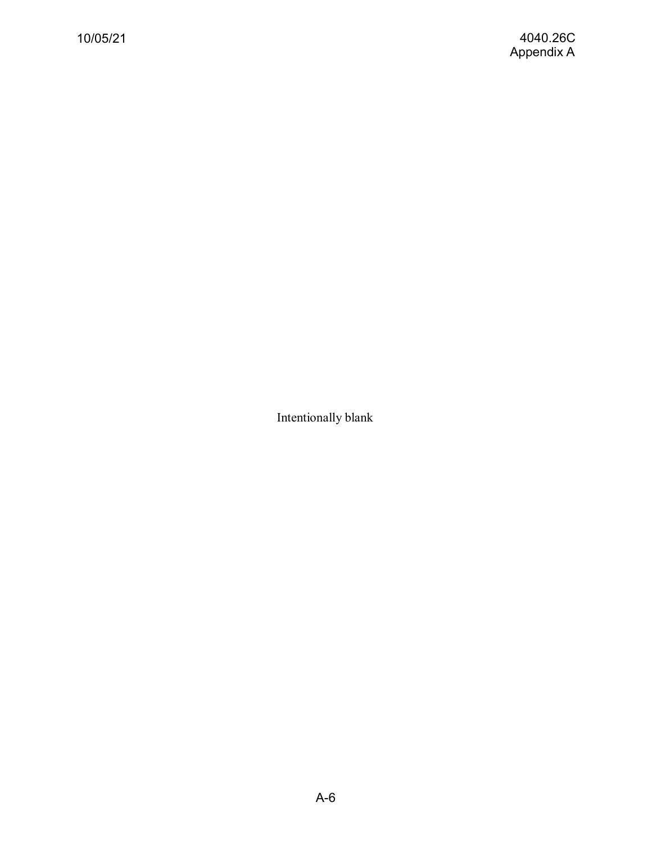Intentionally blank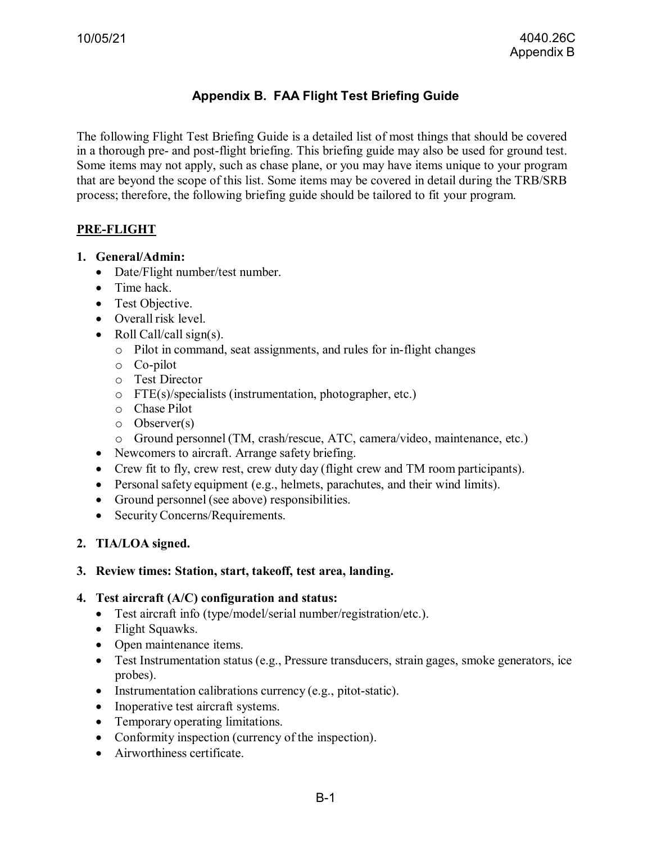# **Appendix B. FAA Flight Test Briefing Guide**

The following Flight Test Briefing Guide is a detailed list of most things that should be covered in a thorough pre- and post-flight briefing. This briefing guide may also be used for ground test. Some items may not apply, such as chase plane, or you may have items unique to your program that are beyond the scope of this list. Some items may be covered in detail during the TRB/SRB process; therefore, the following briefing guide should be tailored to fit your program.

# **PRE-FLIGHT**

- **1. General/Admin:**
	- Date/Flight number/test number.
	- Time hack.
	- Test Objective.
	- Overall risk level.
	- Roll Call/call sign(s).
		- o Pilot in command, seat assignments, and rules for in-flight changes
		- o Co-pilot
		- o Test Director
		- o FTE(s)/specialists (instrumentation, photographer, etc.)
		- o Chase Pilot
		- o Observer(s)
		- o Ground personnel (TM, crash/rescue, ATC, camera/video, maintenance, etc.)
	- Newcomers to aircraft. Arrange safety briefing.
	- Crew fit to fly, crew rest, crew duty day (flight crew and TM room participants).
	- Personal safety equipment (e.g., helmets, parachutes, and their wind limits).
	- Ground personnel (see above) responsibilities.
	- Security Concerns/Requirements.
- **2. TIA/LOA signed.**
- **3. Review times: Station, start, takeoff, test area, landing.**

# **4. Test aircraft (A/C) configuration and status:**

- Test aircraft info (type/model/serial number/registration/etc.).
- Flight Squawks.
- Open maintenance items.
- Test Instrumentation status (e.g., Pressure transducers, strain gages, smoke generators, ice probes).
- Instrumentation calibrations currency (e.g., pitot-static).
- Inoperative test aircraft systems.
- Temporary operating limitations.
- Conformity inspection (currency of the inspection).
- Airworthiness certificate.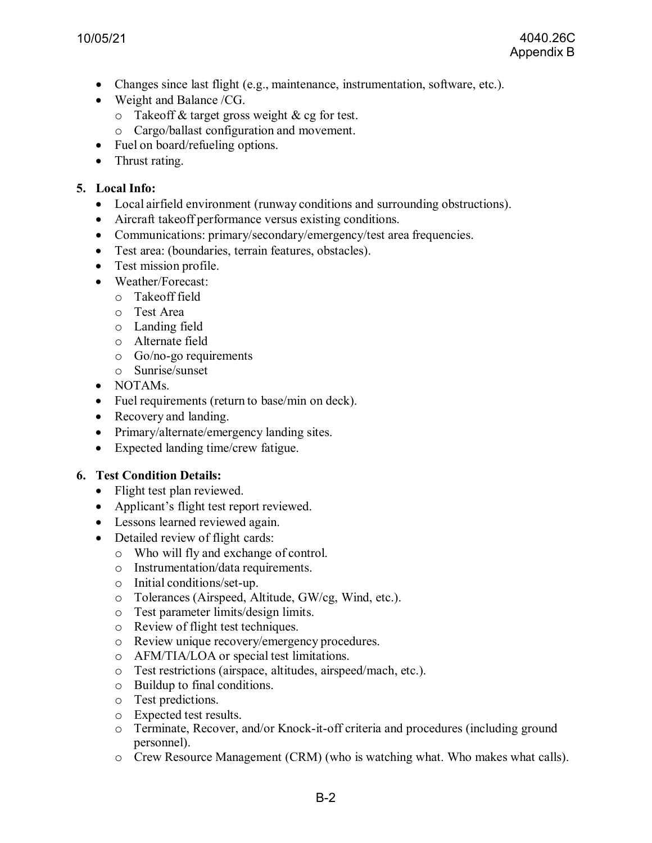- Changes since last flight (e.g., maintenance, instrumentation, software, etc.).
- Weight and Balance /CG.
	- $\circ$  Takeoff & target gross weight & cg for test.
	- o Cargo/ballast configuration and movement.
- Fuel on board/refueling options.
- Thrust rating.

# **5. Local Info:**

- Local airfield environment (runway conditions and surrounding obstructions).
- Aircraft takeoff performance versus existing conditions.
- Communications: primary/secondary/emergency/test area frequencies.
- Test area: (boundaries, terrain features, obstacles).
- Test mission profile.
- Weather/Forecast:
	- o Takeoff field
	- o Test Area
	- o Landing field
	- o Alternate field
	- o Go/no-go requirements
	- o Sunrise/sunset
- NOTAMs.
- Fuel requirements (return to base/min on deck).
- Recovery and landing.
- Primary/alternate/emergency landing sites.
- Expected landing time/crew fatigue.

# **6. Test Condition Details:**

- Flight test plan reviewed.
- Applicant's flight test report reviewed.
- Lessons learned reviewed again.
- Detailed review of flight cards:
	- o Who will fly and exchange of control.
	- o Instrumentation/data requirements.
	- o Initial conditions/set-up.
	- o Tolerances (Airspeed, Altitude, GW/cg, Wind, etc.).
	- o Test parameter limits/design limits.
	- o Review of flight test techniques.
	- o Review unique recovery/emergency procedures.
	- o AFM/TIA/LOA or special test limitations.
	- o Test restrictions (airspace, altitudes, airspeed/mach, etc.).
	- o Buildup to final conditions.
	- o Test predictions.
	- o Expected test results.
	- o Terminate, Recover, and/or Knock-it-off criteria and procedures (including ground personnel).
	- o Crew Resource Management (CRM) (who is watching what. Who makes what calls).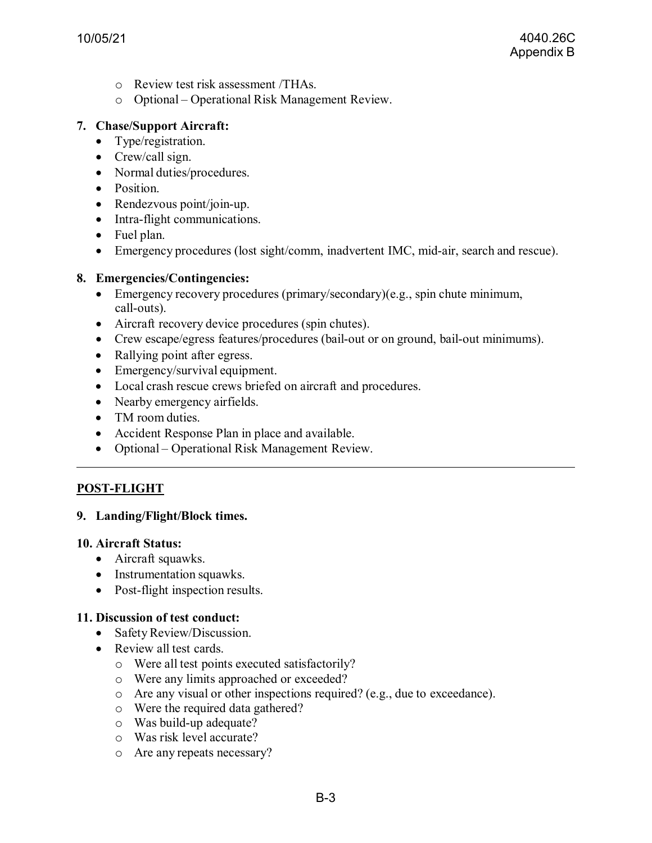- o Review test risk assessment /THAs.
- o Optional Operational Risk Management Review.

#### **7. Chase/Support Aircraft:**

- Type/registration.
- Crew/call sign.
- Normal duties/procedures.
- Position.
- Rendezvous point/join-up.
- Intra-flight communications.
- Fuel plan.
- Emergency procedures (lost sight/comm, inadvertent IMC, mid-air, search and rescue).

#### **8. Emergencies/Contingencies:**

- Emergency recovery procedures (primary/secondary)(e.g., spin chute minimum, call-outs).
- Aircraft recovery device procedures (spin chutes).
- Crew escape/egress features/procedures (bail-out or on ground, bail-out minimums).
- Rallying point after egress.
- Emergency/survival equipment.
- Local crash rescue crews briefed on aircraft and procedures.
- Nearby emergency airfields.
- TM room duties.
- Accident Response Plan in place and available.
- Optional Operational Risk Management Review.

#### **POST-FLIGHT**

#### **9. Landing/Flight/Block times.**

#### **10. Aircraft Status:**

- Aircraft squawks.
- Instrumentation squawks.
- Post-flight inspection results.

#### **11. Discussion of test conduct:**

- Safety Review/Discussion.
- Review all test cards.
	- o Were all test points executed satisfactorily?
	- o Were any limits approached or exceeded?
	- o Are any visual or other inspections required? (e.g., due to exceedance).
	- o Were the required data gathered?
	- o Was build-up adequate?
	- o Was risk level accurate?
	- o Are any repeats necessary?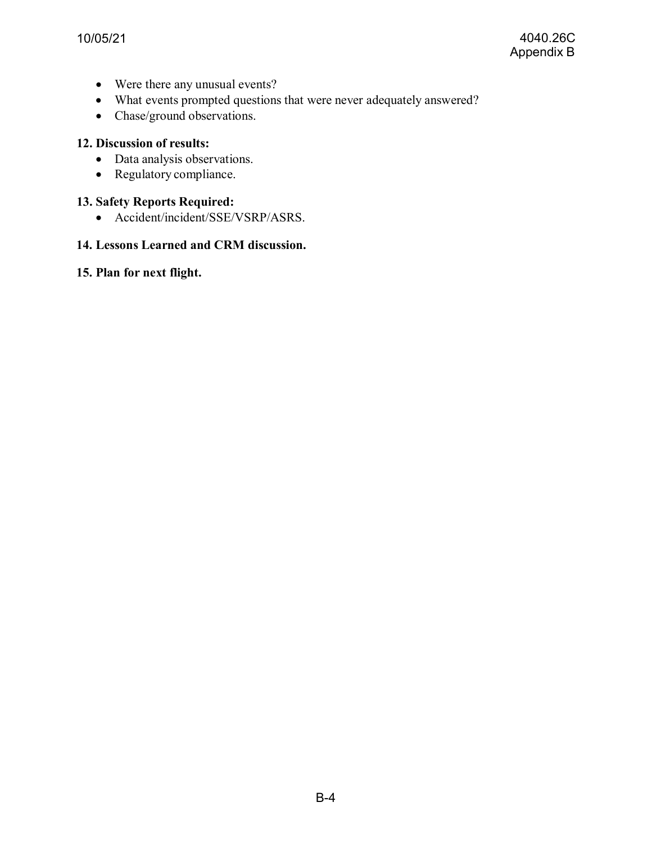- Were there any unusual events?
- What events prompted questions that were never adequately answered?
- Chase/ground observations.

## **12. Discussion of results:**

- Data analysis observations.
- Regulatory compliance.

# **13. Safety Reports Required:**

• Accident/incident/SSE/VSRP/ASRS.

## **14. Lessons Learned and CRM discussion.**

## **15. Plan for next flight.**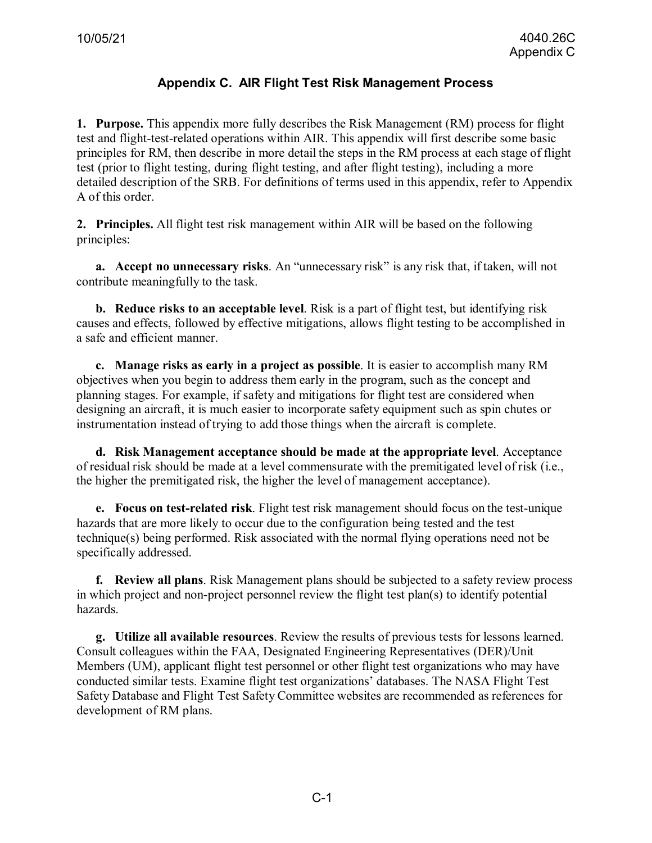# **Appendix C. AIR Flight Test Risk Management Process**

**1. Purpose.** This appendix more fully describes the Risk Management (RM) process for flight test and flight-test-related operations within AIR. This appendix will first describe some basic principles for RM, then describe in more detail the steps in the RM process at each stage of flight test (prior to flight testing, during flight testing, and after flight testing), including a more detailed description of the SRB. For definitions of terms used in this appendix, refer to Appendix A of this order.

**2. Principles.** All flight test risk management within AIR will be based on the following principles:

**a. Accept no unnecessary risks**. An "unnecessary risk" is any risk that, if taken, will not contribute meaningfully to the task.

**b. Reduce risks to an acceptable level**. Risk is a part of flight test, but identifying risk causes and effects, followed by effective mitigations, allows flight testing to be accomplished in a safe and efficient manner.

**c. Manage risks as early in a project as possible**. It is easier to accomplish many RM objectives when you begin to address them early in the program, such as the concept and planning stages. For example, if safety and mitigations for flight test are considered when designing an aircraft, it is much easier to incorporate safety equipment such as spin chutes or instrumentation instead of trying to add those things when the aircraft is complete.

**d. Risk Management acceptance should be made at the appropriate level**. Acceptance of residual risk should be made at a level commensurate with the premitigated level of risk (i.e., the higher the premitigated risk, the higher the level of management acceptance).

**e. Focus on test-related risk**. Flight test risk management should focus on the test-unique hazards that are more likely to occur due to the configuration being tested and the test technique(s) being performed. Risk associated with the normal flying operations need not be specifically addressed.

**f. Review all plans**. Risk Management plans should be subjected to a safety review process in which project and non-project personnel review the flight test plan(s) to identify potential hazards.

**g. Utilize all available resources**. Review the results of previous tests for lessons learned. Consult colleagues within the FAA, Designated Engineering Representatives (DER)/Unit Members (UM), applicant flight test personnel or other flight test organizations who may have conducted similar tests. Examine flight test organizations' databases. The NASA Flight Test Safety Database and Flight Test Safety Committee websites are recommended as references for development of RM plans.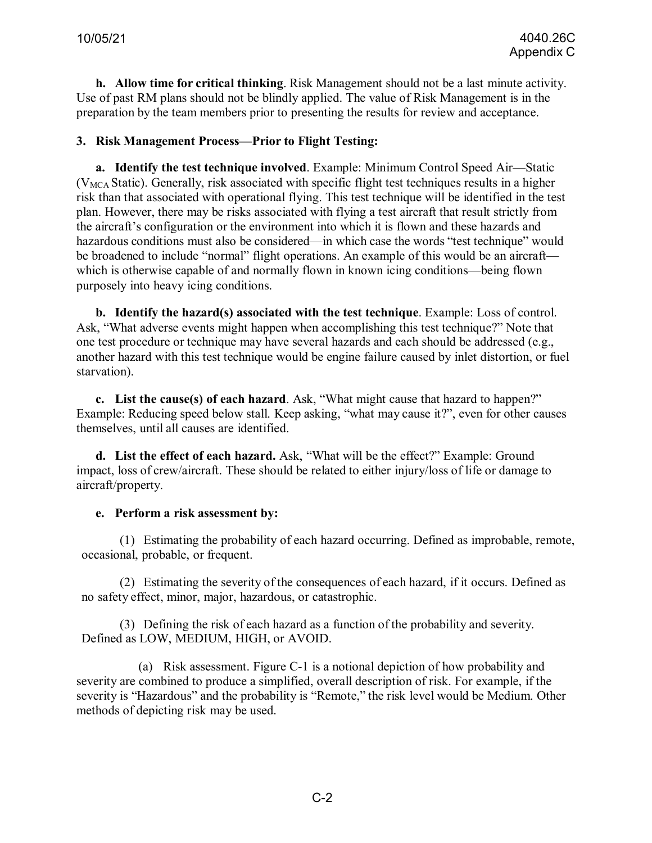**h. Allow time for critical thinking**. Risk Management should not be a last minute activity. Use of past RM plans should not be blindly applied. The value of Risk Management is in the preparation by the team members prior to presenting the results for review and acceptance.

#### **3. Risk Management Process—Prior to Flight Testing:**

**a. Identify the test technique involved**. Example: Minimum Control Speed Air—Static  $(V<sub>MCA</sub> Static)$ . Generally, risk associated with specific flight test techniques results in a higher risk than that associated with operational flying. This test technique will be identified in the test plan. However, there may be risks associated with flying a test aircraft that result strictly from the aircraft's configuration or the environment into which it is flown and these hazards and hazardous conditions must also be considered—in which case the words "test technique" would be broadened to include "normal" flight operations. An example of this would be an aircraft which is otherwise capable of and normally flown in known icing conditions—being flown purposely into heavy icing conditions.

**b. Identify the hazard(s) associated with the test technique**. Example: Loss of control. Ask, "What adverse events might happen when accomplishing this test technique?" Note that one test procedure or technique may have several hazards and each should be addressed (e.g., another hazard with this test technique would be engine failure caused by inlet distortion, or fuel starvation).

**c. List the cause(s) of each hazard**. Ask, "What might cause that hazard to happen?" Example: Reducing speed below stall. Keep asking, "what may cause it?", even for other causes themselves, until all causes are identified.

**d. List the effect of each hazard.** Ask, "What will be the effect?" Example: Ground impact, loss of crew/aircraft. These should be related to either injury/loss of life or damage to aircraft/property.

#### **e. Perform a risk assessment by:**

(1) Estimating the probability of each hazard occurring. Defined as improbable, remote, occasional, probable, or frequent.

(2) Estimating the severity of the consequences of each hazard, if it occurs. Defined as no safety effect, minor, major, hazardous, or catastrophic.

(3) Defining the risk of each hazard as a function of the probability and severity. Defined as LOW, MEDIUM, HIGH, or AVOID.

(a) Risk assessment. Figure C-1 is a notional depiction of how probability and severity are combined to produce a simplified, overall description of risk. For example, if the severity is "Hazardous" and the probability is "Remote," the risk level would be Medium. Other methods of depicting risk may be used.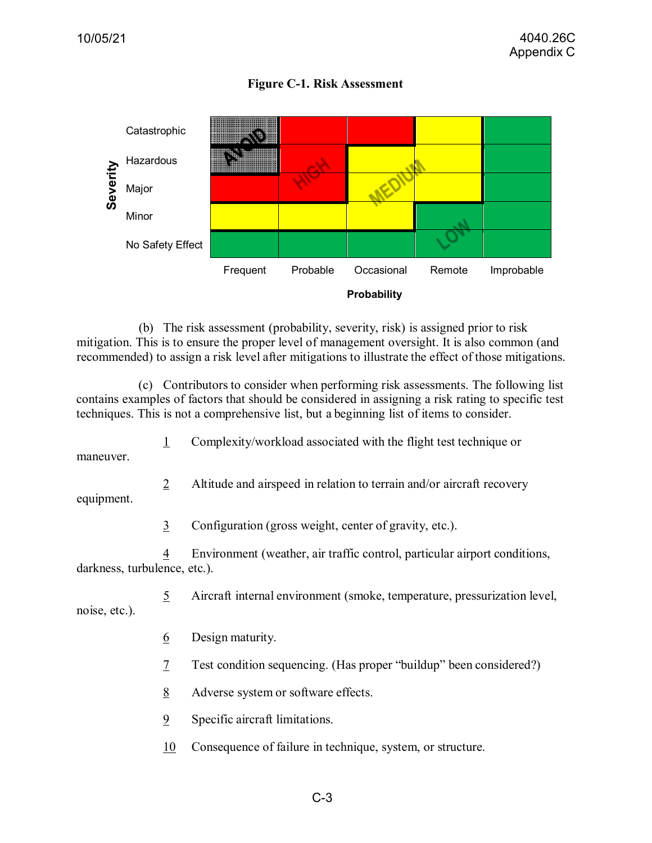



(b) The risk assessment (probability, severity, risk) is assigned prior to risk mitigation. This is to ensure the proper level of management oversight. It is also common (and recommended) to assign a risk level after mitigations to illustrate the effect of those mitigations.

(c) Contributors to consider when performing risk assessments. The following list contains examples of factors that should be considered in assigning a risk rating to specific test techniques. This is not a comprehensive list, but a beginning list of items to consider.

1 Complexity/workload associated with the flight test technique or

maneuver.

 $\frac{2}{2}$  Altitude and airspeed in relation to terrain and/or aircraft recovery

equipment.

3 Configuration (gross weight, center of gravity, etc.).

 $\frac{4}{1}$  Environment (weather, air traffic control, particular airport conditions, darkness, turbulence, etc.).

5 Aircraft internal environment (smoke, temperature, pressurization level, noise, etc.).

- 6 Design maturity.
- $\frac{7}{1}$  Test condition sequencing. (Has proper "buildup" been considered?)
- 8 Adverse system or software effects.
- 9 Specific aircraft limitations.
- 10 Consequence of failure in technique, system, or structure.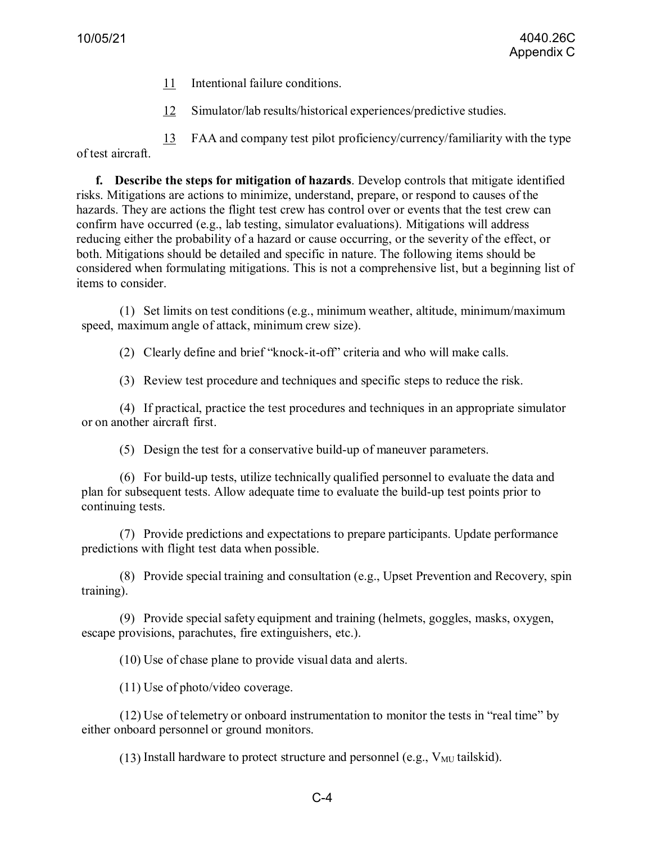- 11 Intentional failure conditions.
- 12 Simulator/lab results/historical experiences/predictive studies.

13 FAA and company test pilot proficiency/currency/familiarity with the type of test aircraft.

**f. Describe the steps for mitigation of hazards**. Develop controls that mitigate identified risks. Mitigations are actions to minimize, understand, prepare, or respond to causes of the hazards. They are actions the flight test crew has control over or events that the test crew can confirm have occurred (e.g., lab testing, simulator evaluations). Mitigations will address reducing either the probability of a hazard or cause occurring, or the severity of the effect, or both. Mitigations should be detailed and specific in nature. The following items should be considered when formulating mitigations. This is not a comprehensive list, but a beginning list of items to consider.

(1) Set limits on test conditions (e.g., minimum weather, altitude, minimum/maximum speed, maximum angle of attack, minimum crew size).

(2) Clearly define and brief "knock-it-off" criteria and who will make calls.

(3) Review test procedure and techniques and specific steps to reduce the risk.

(4) If practical, practice the test procedures and techniques in an appropriate simulator or on another aircraft first.

(5) Design the test for a conservative build-up of maneuver parameters.

(6) For build-up tests, utilize technically qualified personnel to evaluate the data and plan for subsequent tests. Allow adequate time to evaluate the build-up test points prior to continuing tests.

(7) Provide predictions and expectations to prepare participants. Update performance predictions with flight test data when possible.

(8) Provide special training and consultation (e.g., Upset Prevention and Recovery, spin training).

(9) Provide special safety equipment and training (helmets, goggles, masks, oxygen, escape provisions, parachutes, fire extinguishers, etc.).

(10) Use of chase plane to provide visual data and alerts.

(11) Use of photo/video coverage.

(12) Use of telemetry or onboard instrumentation to monitor the tests in "real time" by either onboard personnel or ground monitors.

(13) Install hardware to protect structure and personnel (e.g.,  $V_{MU}$  tailskid).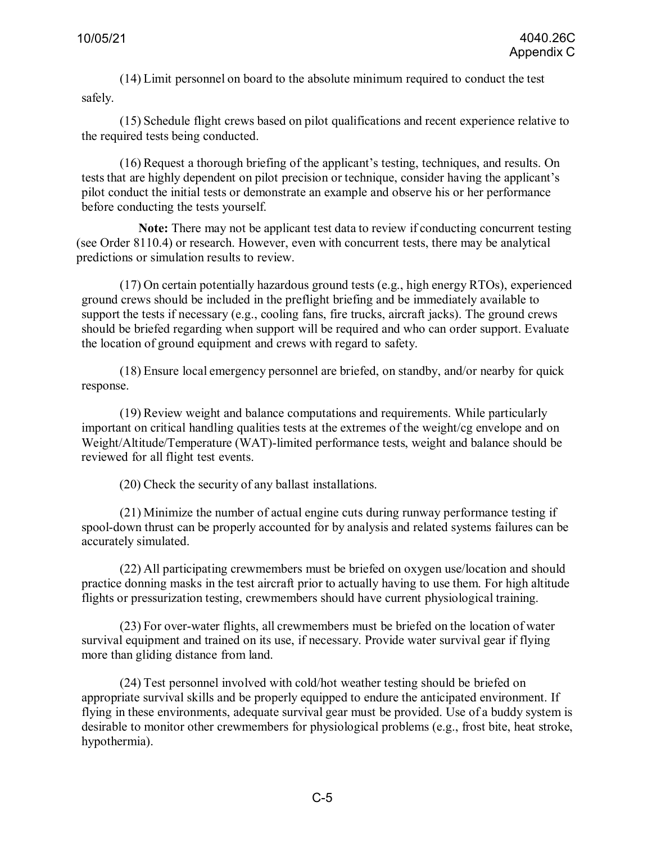safely. (14) Limit personnel on board to the absolute minimum required to conduct the test

(15) Schedule flight crews based on pilot qualifications and recent experience relative to the required tests being conducted.

(16) Request a thorough briefing of the applicant's testing, techniques, and results. On teststhat are highly dependent on pilot precision or technique, consider having the applicant's pilot conduct the initial tests or demonstrate an example and observe his or her performance before conducting the tests yourself.

**Note:** There may not be applicant test data to review if conducting concurrent testing (see Order 8110.4) or research. However, even with concurrent tests, there may be analytical predictions or simulation results to review.

(17) On certain potentially hazardous ground tests (e.g., high energy RTOs), experienced ground crews should be included in the preflight briefing and be immediately available to support the tests if necessary (e.g., cooling fans, fire trucks, aircraft jacks). The ground crews should be briefed regarding when support will be required and who can order support. Evaluate the location of ground equipment and crews with regard to safety.

(18) Ensure local emergency personnel are briefed, on standby, and/or nearby for quick response.

(19) Review weight and balance computations and requirements. While particularly important on critical handling qualities tests at the extremes of the weight/cg envelope and on Weight/Altitude/Temperature (WAT)-limited performance tests, weight and balance should be reviewed for all flight test events.

(20) Check the security of any ballast installations.

(21) Minimize the number of actual engine cuts during runway performance testing if spool-down thrust can be properly accounted for by analysis and related systems failures can be accurately simulated.

(22) All participating crewmembers must be briefed on oxygen use/location and should practice donning masks in the test aircraft prior to actually having to use them. For high altitude flights or pressurization testing, crewmembers should have current physiological training.

(23) For over-water flights, all crewmembers must be briefed on the location of water survival equipment and trained on its use, if necessary. Provide water survival gear if flying more than gliding distance from land.

(24) Test personnel involved with cold/hot weather testing should be briefed on appropriate survival skills and be properly equipped to endure the anticipated environment. If flying in these environments, adequate survival gear must be provided. Use of a buddy system is desirable to monitor other crewmembers for physiological problems (e.g., frost bite, heat stroke, hypothermia).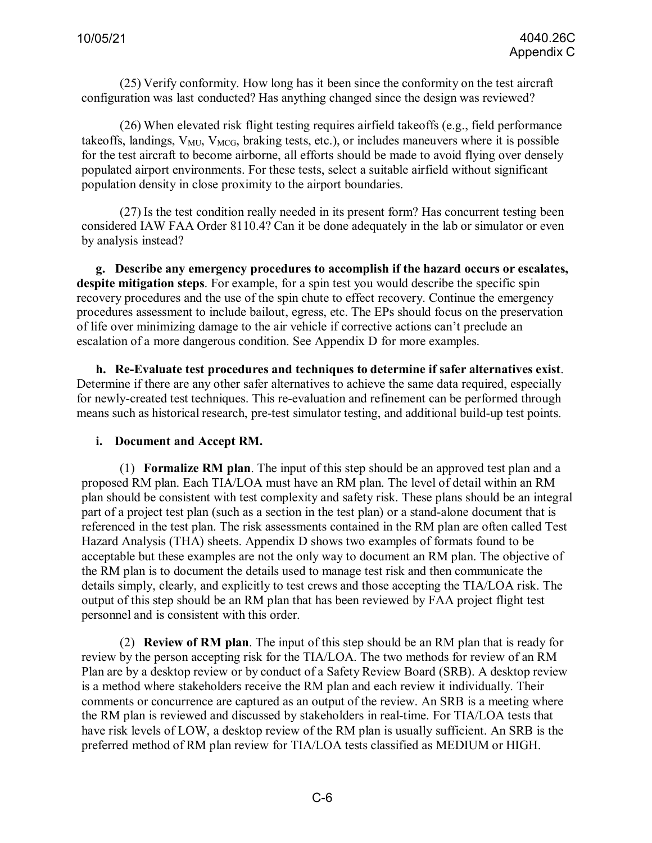(25) Verify conformity. How long has it been since the conformity on the test aircraft configuration was last conducted? Has anything changed since the design was reviewed?

(26) When elevated risk flight testing requires airfield takeoffs (e.g., field performance takeoffs, landings,  $V_{MU}$ ,  $V_{MCG}$ , braking tests, etc.), or includes maneuvers where it is possible for the test aircraft to become airborne, all efforts should be made to avoid flying over densely populated airport environments. For these tests, select a suitable airfield without significant population density in close proximity to the airport boundaries.

(27) Is the test condition really needed in its present form? Has concurrent testing been considered IAW FAA Order 8110.4? Can it be done adequately in the lab or simulator or even by analysis instead?

**g. Describe any emergency procedures to accomplish if the hazard occurs or escalates, despite mitigation steps**. For example, for a spin test you would describe the specific spin recovery procedures and the use of the spin chute to effect recovery. Continue the emergency procedures assessment to include bailout, egress, etc. The EPs should focus on the preservation of life over minimizing damage to the air vehicle if corrective actions can't preclude an escalation of a more dangerous condition. See Appendix D for more examples.

**h. Re-Evaluate test procedures and techniques to determine if safer alternatives exist**. Determine if there are any other safer alternatives to achieve the same data required, especially for newly-created test techniques. This re-evaluation and refinement can be performed through means such as historical research, pre-test simulator testing, and additional build-up test points.

#### **i. Document and Accept RM.**

(1) **Formalize RM plan**. The input of this step should be an approved test plan and a proposed RM plan. Each TIA/LOA must have an RM plan. The level of detail within an RM plan should be consistent with test complexity and safety risk. These plans should be an integral part of a project test plan (such as a section in the test plan) or a stand-alone document that is referenced in the test plan. The risk assessments contained in the RM plan are often called Test Hazard Analysis (THA) sheets. Appendix D shows two examples of formats found to be acceptable but these examples are not the only way to document an RM plan. The objective of the RM plan is to document the details used to manage test risk and then communicate the details simply, clearly, and explicitly to test crews and those accepting the TIA/LOA risk. The output of this step should be an RM plan that has been reviewed by FAA project flight test personnel and is consistent with this order.

(2) **Review of RM plan**. The input of this step should be an RM plan that is ready for review by the person accepting risk for the TIA/LOA. The two methods for review of an RM Plan are by a desktop review or by conduct of a Safety Review Board (SRB). A desktop review is a method where stakeholders receive the RM plan and each review it individually. Their comments or concurrence are captured as an output of the review. An SRB is a meeting where the RM plan is reviewed and discussed by stakeholders in real-time. For TIA/LOA tests that have risk levels of LOW, a desktop review of the RM plan is usually sufficient. An SRB is the preferred method of RM plan review for TIA/LOA tests classified as MEDIUM or HIGH.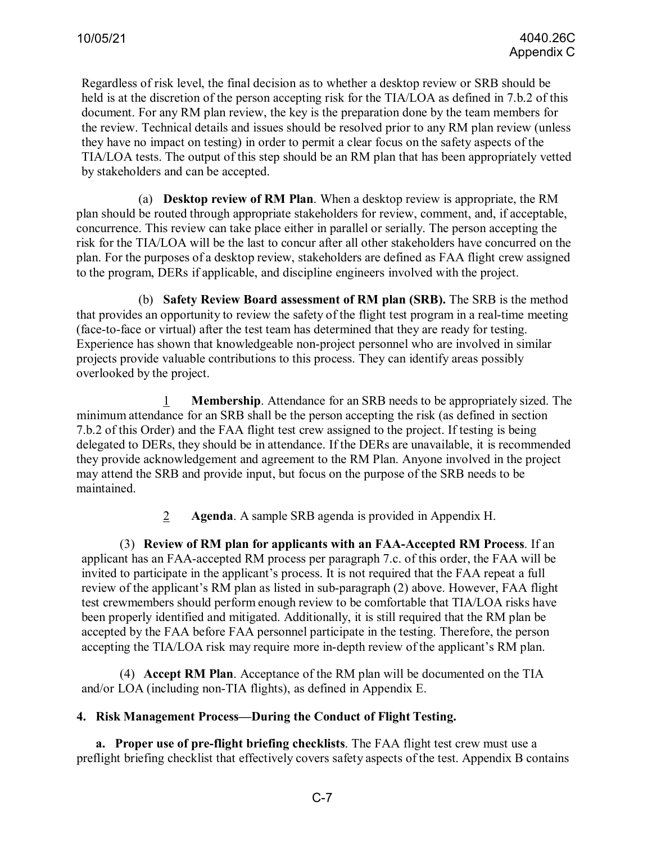Regardless of risk level, the final decision as to whether a desktop review or SRB should be held is at the discretion of the person accepting risk for the TIA/LOA as defined in 7.b.2 of this document. For any RM plan review, the key is the preparation done by the team members for the review. Technical details and issues should be resolved prior to any RM plan review (unless they have no impact on testing) in order to permit a clear focus on the safety aspects of the TIA/LOA tests. The output of this step should be an RM plan that has been appropriately vetted by stakeholders and can be accepted.

(a) **Desktop review of RM Plan**. When a desktop review is appropriate, the RM plan should be routed through appropriate stakeholders for review, comment, and, if acceptable, concurrence. This review can take place either in parallel or serially. The person accepting the risk for the TIA/LOA will be the last to concur after all other stakeholders have concurred on the plan. For the purposes of a desktop review, stakeholders are defined as FAA flight crew assigned to the program, DERs if applicable, and discipline engineers involved with the project.

(b) **Safety Review Board assessment of RM plan (SRB).** The SRB is the method that provides an opportunity to review the safety of the flight test program in a real-time meeting (face-to-face or virtual) after the test team has determined that they are ready for testing. Experience has shown that knowledgeable non-project personnel who are involved in similar projects provide valuable contributions to this process. They can identify areas possibly overlooked by the project.

1 **Membership**. Attendance for an SRB needs to be appropriately sized. The minimum attendance for an SRB shall be the person accepting the risk (as defined in section 7.b.2 of this Order) and the FAA flight test crew assigned to the project. If testing is being delegated to DERs, they should be in attendance. If the DERs are unavailable, it is recommended they provide acknowledgement and agreement to the RM Plan. Anyone involved in the project may attend the SRB and provide input, but focus on the purpose of the SRB needs to be maintained.

2 **Agenda**. A sample SRB agenda is provided in Appendix H.

(3) **Review of RM plan for applicants with an FAA-Accepted RM Process**. If an applicant has an FAA-accepted RM process per paragraph 7.c. of this order, the FAA will be invited to participate in the applicant's process. It is not required that the FAA repeat a full review of the applicant's RM plan as listed in sub-paragraph (2) above. However, FAA flight test crewmembers should perform enough review to be comfortable that TIA/LOA risks have been properly identified and mitigated. Additionally, it is still required that the RM plan be accepted by the FAA before FAA personnel participate in the testing. Therefore, the person accepting the TIA/LOA risk may require more in-depth review of the applicant's RM plan.

(4) **Accept RM Plan**. Acceptance of the RM plan will be documented on the TIA and/or LOA (including non-TIA flights), as defined in Appendix E.

#### **4. Risk Management Process—During the Conduct of Flight Testing.**

**a. Proper use of pre-flight briefing checklists**. The FAA flight test crew must use a preflight briefing checklist that effectively covers safety aspects of the test. Appendix B contains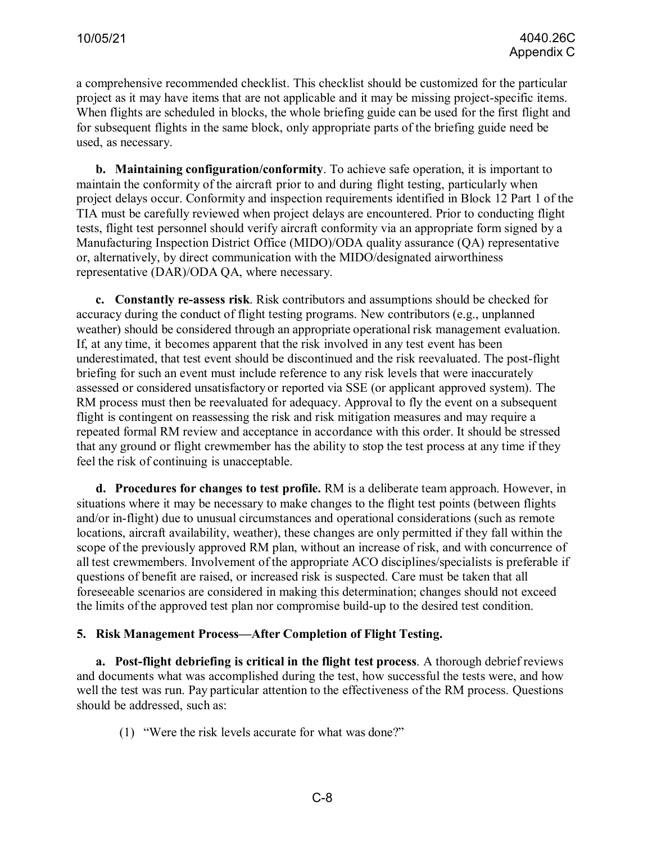a comprehensive recommended checklist. This checklist should be customized for the particular project as it may have items that are not applicable and it may be missing project-specific items. When flights are scheduled in blocks, the whole briefing guide can be used for the first flight and for subsequent flights in the same block, only appropriate parts of the briefing guide need be used, as necessary.

**b. Maintaining configuration/conformity**. To achieve safe operation, it is important to maintain the conformity of the aircraft prior to and during flight testing, particularly when project delays occur. Conformity and inspection requirements identified in Block 12 Part 1 of the TIA must be carefully reviewed when project delays are encountered. Prior to conducting flight tests, flight test personnel should verify aircraft conformity via an appropriate form signed by a Manufacturing Inspection District Office (MIDO)/ODA quality assurance (QA) representative or, alternatively, by direct communication with the MIDO/designated airworthiness representative (DAR)/ODA QA, where necessary.

**c. Constantly re-assess risk**. Risk contributors and assumptions should be checked for accuracy during the conduct of flight testing programs. New contributors (e.g., unplanned weather) should be considered through an appropriate operational risk management evaluation. If, at any time, it becomes apparent that the risk involved in any test event has been underestimated, that test event should be discontinued and the risk reevaluated. The post-flight briefing for such an event must include reference to any risk levels that were inaccurately assessed or considered unsatisfactory or reported via SSE (or applicant approved system). The RM process must then be reevaluated for adequacy. Approval to fly the event on a subsequent flight is contingent on reassessing the risk and risk mitigation measures and may require a repeated formal RM review and acceptance in accordance with this order. It should be stressed that any ground or flight crewmember has the ability to stop the test process at any time if they feel the risk of continuing is unacceptable.

**d. Procedures for changes to test profile.** RM is a deliberate team approach. However, in situations where it may be necessary to make changes to the flight test points (between flights and/or in-flight) due to unusual circumstances and operational considerations (such as remote locations, aircraft availability, weather), these changes are only permitted if they fall within the scope of the previously approved RM plan, without an increase of risk, and with concurrence of all test crewmembers. Involvement of the appropriate ACO disciplines/specialists is preferable if questions of benefit are raised, or increased risk is suspected. Care must be taken that all foreseeable scenarios are considered in making this determination; changes should not exceed the limits of the approved test plan nor compromise build-up to the desired test condition.

#### **5. Risk Management Process—After Completion of Flight Testing.**

**a. Post-flight debriefing is critical in the flight test process**. A thorough debrief reviews and documents what was accomplished during the test, how successful the tests were, and how well the test was run. Pay particular attention to the effectiveness of the RM process. Questions should be addressed, such as:

(1) "Were the risk levels accurate for what was done?"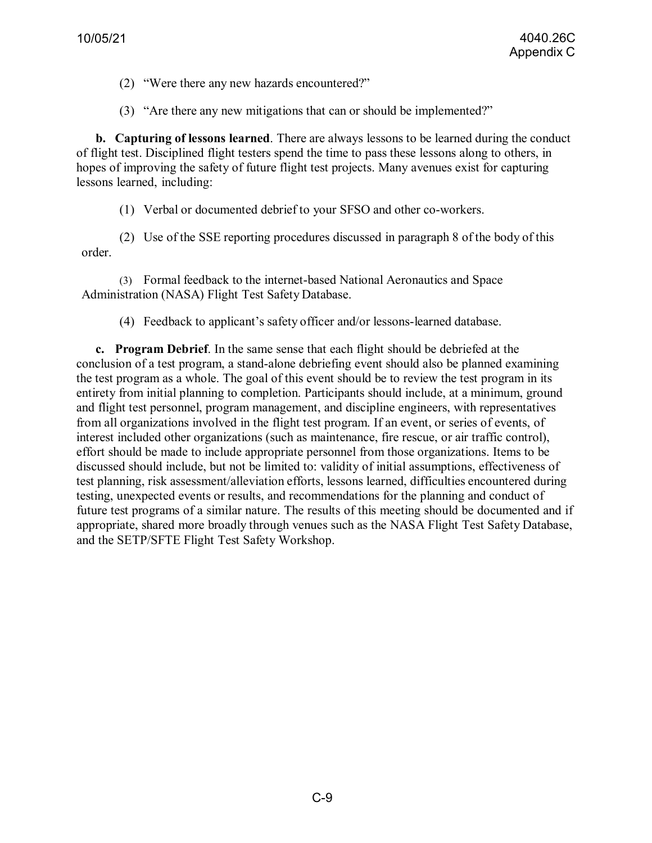- (2) "Were there any new hazards encountered?"
- (3) "Are there any new mitigations that can or should be implemented?"

**b. Capturing of lessons learned**. There are always lessons to be learned during the conduct of flight test. Disciplined flight testers spend the time to pass these lessons along to others, in hopes of improving the safety of future flight test projects. Many avenues exist for capturing lessons learned, including:

(1) Verbal or documented debrief to your SFSO and other co-workers.

(2) Use of the SSE reporting procedures discussed in paragraph 8 of the body of this order.

(3) Formal feedback to the internet-based National Aeronautics and Space Administration (NASA) Flight Test Safety Database.

(4) Feedback to applicant's safety officer and/or lessons-learned database.

**c. Program Debrief**. In the same sense that each flight should be debriefed at the conclusion of a test program, a stand-alone debriefing event should also be planned examining the test program as a whole. The goal of this event should be to review the test program in its entirety from initial planning to completion. Participants should include, at a minimum, ground and flight test personnel, program management, and discipline engineers, with representatives from all organizations involved in the flight test program. If an event, or series of events, of interest included other organizations (such as maintenance, fire rescue, or air traffic control), effort should be made to include appropriate personnel from those organizations. Items to be discussed should include, but not be limited to: validity of initial assumptions, effectiveness of test planning, risk assessment/alleviation efforts, lessons learned, difficulties encountered during testing, unexpected events or results, and recommendations for the planning and conduct of future test programs of a similar nature. The results of this meeting should be documented and if appropriate, shared more broadly through venues such as the NASA Flight Test Safety Database, and the SETP/SFTE Flight Test Safety Workshop.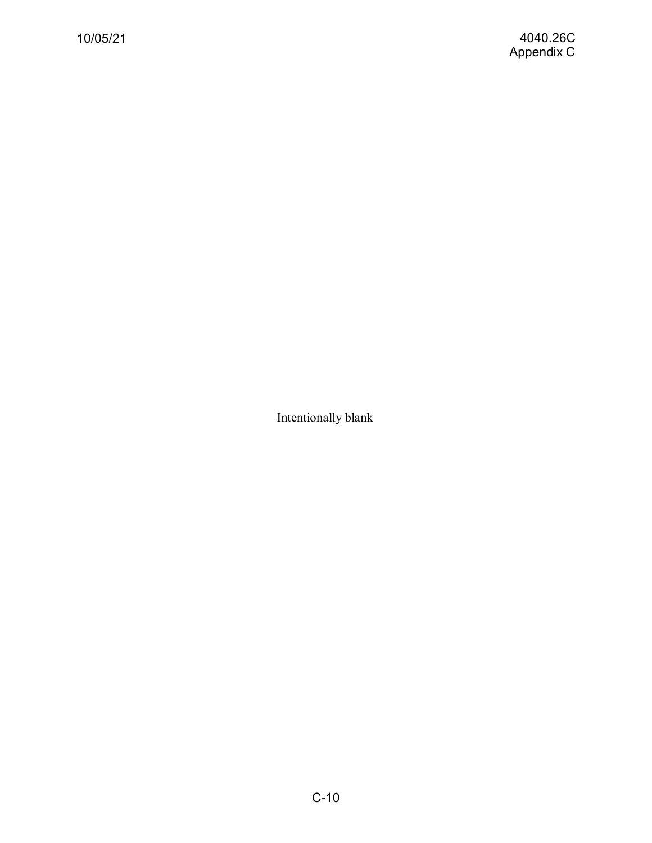Intentionally blank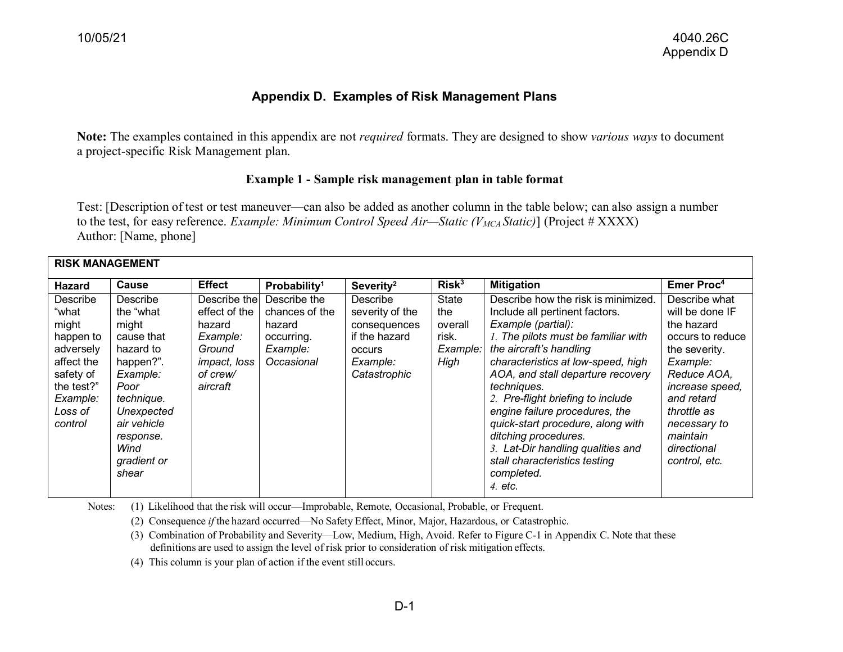# **Appendix D. Examples of Risk Management Plans**

**Note:** The examples contained in this appendix are not *required* formats. They are designed to show *various ways* to document a project-specific Risk Management plan.

## **Example 1 - Sample risk management plan in table format**

Test: [Description of test or test maneuver—can also be added as another column in the table below; can also assign a number to the test, for easy reference. *Example: Minimum Control Speed Air—Static (V<sub>MCA</sub> Static)*] (Project # XXXX) Author: [Name, phone]

| <b>RISK MANAGEMENT</b>                                                                                                          |                                                                                                                                                                                    |                                                                                                              |                                                                                  |                                                                                                           |                                                      |                                                                                                                                                                                                                                                                                                                                                                                                                                                                                            |                                                                                                                                                                                                                            |
|---------------------------------------------------------------------------------------------------------------------------------|------------------------------------------------------------------------------------------------------------------------------------------------------------------------------------|--------------------------------------------------------------------------------------------------------------|----------------------------------------------------------------------------------|-----------------------------------------------------------------------------------------------------------|------------------------------------------------------|--------------------------------------------------------------------------------------------------------------------------------------------------------------------------------------------------------------------------------------------------------------------------------------------------------------------------------------------------------------------------------------------------------------------------------------------------------------------------------------------|----------------------------------------------------------------------------------------------------------------------------------------------------------------------------------------------------------------------------|
| <b>Hazard</b>                                                                                                                   | Cause                                                                                                                                                                              | <b>Effect</b>                                                                                                | Probability <sup>1</sup>                                                         | Severity <sup>2</sup>                                                                                     | Risk <sup>3</sup>                                    | <b>Mitigation</b>                                                                                                                                                                                                                                                                                                                                                                                                                                                                          | Emer Proc <sup>4</sup>                                                                                                                                                                                                     |
| Describe<br>"what<br>might<br>happen to<br>adversely<br>affect the<br>safety of<br>the test?"<br>Example:<br>Loss of<br>control | Describe<br>the "what<br>might<br>cause that<br>hazard to<br>happen?".<br>Example:<br>Poor<br>technique.<br>Unexpected<br>air vehicle<br>response.<br>Wind<br>gradient or<br>shear | Describe the<br>effect of the<br>hazard<br>Example:<br>Ground<br><i>impact, loss</i><br>of crew/<br>aircraft | Describe the<br>chances of the<br>hazard<br>occurring.<br>Example:<br>Occasional | <b>Describe</b><br>severity of the<br>consequences<br>if the hazard<br>occurs<br>Example:<br>Catastrophic | State<br>the<br>overall<br>risk.<br>Example:<br>High | Describe how the risk is minimized.<br>Include all pertinent factors.<br>Example (partial):<br>1. The pilots must be familiar with<br>the aircraft's handling<br>characteristics at low-speed, high<br>AOA, and stall departure recovery<br>techniques.<br>2. Pre-flight briefing to include<br>engine failure procedures, the<br>quick-start procedure, along with<br>ditching procedures.<br>3. Lat-Dir handling qualities and<br>stall characteristics testing<br>completed.<br>4. etc. | Describe what<br>will be done IF<br>the hazard<br>occurs to reduce<br>the severity.<br>Example:<br>Reduce AOA,<br>increase speed,<br>and retard<br>throttle as<br>necessary to<br>maintain<br>directional<br>control, etc. |

Notes: (1) Likelihood that the risk will occur—Improbable, Remote, Occasional, Probable, or Frequent.

(2) Consequence *if* the hazard occurred—No Safety Effect, Minor, Major, Hazardous, or Catastrophic.

- (3) Combination of Probability and Severity—Low, Medium, High, Avoid. Refer to Figure C-1 in Appendix C. Note that these definitions are used to assign the level of risk prior to consideration of risk mitigation effects.
- (4) This column is your plan of action if the event still occurs.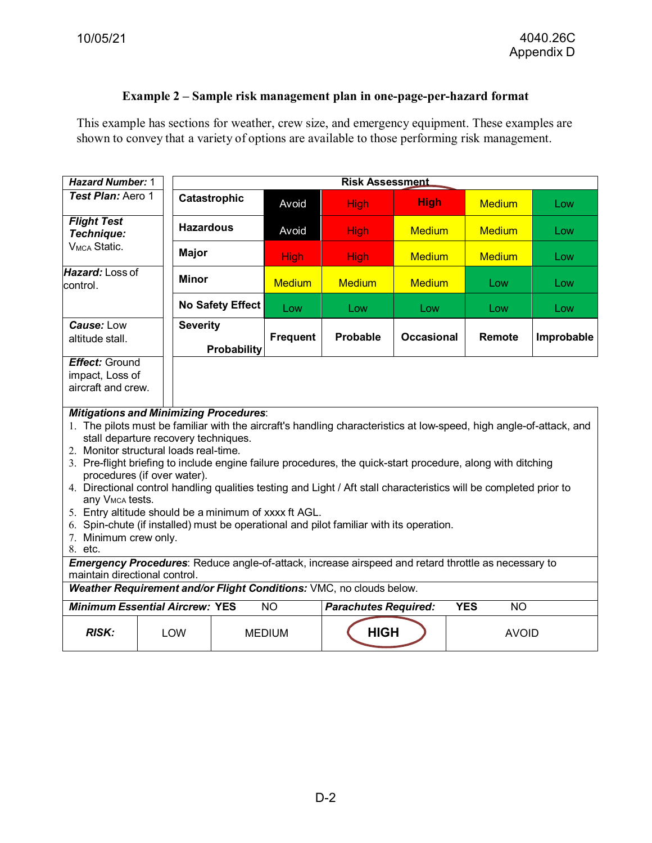# **Example 2 – Sample risk management plan in one-page-per-hazard format**

This example has sections for weather, crew size, and emergency equipment. These examples are shown to convey that a variety of options are available to those performing risk management.

| <b>Hazard Number: 1</b>                                                                                                                                                                                                                                                                                                                                                                                                                                                                                                                                                                                                                                                                                                                                                                                                                                                                          |  | <b>Risk Assessment</b> |                                                                                                            |               |                                                                     |               |            |               |     |
|--------------------------------------------------------------------------------------------------------------------------------------------------------------------------------------------------------------------------------------------------------------------------------------------------------------------------------------------------------------------------------------------------------------------------------------------------------------------------------------------------------------------------------------------------------------------------------------------------------------------------------------------------------------------------------------------------------------------------------------------------------------------------------------------------------------------------------------------------------------------------------------------------|--|------------------------|------------------------------------------------------------------------------------------------------------|---------------|---------------------------------------------------------------------|---------------|------------|---------------|-----|
| Test Plan: Aero 1                                                                                                                                                                                                                                                                                                                                                                                                                                                                                                                                                                                                                                                                                                                                                                                                                                                                                |  | <b>Catastrophic</b>    |                                                                                                            | Avoid         | <b>High</b>                                                         | <b>High</b>   |            | <b>Medium</b> | Low |
| <b>Flight Test</b><br><b>Technique:</b>                                                                                                                                                                                                                                                                                                                                                                                                                                                                                                                                                                                                                                                                                                                                                                                                                                                          |  | <b>Hazardous</b>       |                                                                                                            | Avoid         | <b>High</b>                                                         | <b>Medium</b> |            | <b>Medium</b> | Low |
| V <sub>MCA</sub> Static.                                                                                                                                                                                                                                                                                                                                                                                                                                                                                                                                                                                                                                                                                                                                                                                                                                                                         |  | <b>Major</b>           |                                                                                                            | <b>High</b>   | <b>High</b>                                                         | <b>Medium</b> |            | <b>Medium</b> | Low |
| Hazard: Loss of<br>control.                                                                                                                                                                                                                                                                                                                                                                                                                                                                                                                                                                                                                                                                                                                                                                                                                                                                      |  | <b>Minor</b>           |                                                                                                            | <b>Medium</b> | <b>Medium</b>                                                       | <b>Medium</b> |            | Low           | Low |
|                                                                                                                                                                                                                                                                                                                                                                                                                                                                                                                                                                                                                                                                                                                                                                                                                                                                                                  |  |                        | No Safety Effect                                                                                           | Low           | Low                                                                 | Low           |            | Low           | Low |
| Cause: Low<br>altitude stall.                                                                                                                                                                                                                                                                                                                                                                                                                                                                                                                                                                                                                                                                                                                                                                                                                                                                    |  |                        | <b>Severity</b><br>Frequent<br><b>Probable</b><br><b>Occasional</b><br>Improbable<br>Remote<br>Probability |               |                                                                     |               |            |               |     |
| <b>Effect: Ground</b><br>impact, Loss of<br>aircraft and crew.                                                                                                                                                                                                                                                                                                                                                                                                                                                                                                                                                                                                                                                                                                                                                                                                                                   |  |                        |                                                                                                            |               |                                                                     |               |            |               |     |
| <b>Mitigations and Minimizing Procedures:</b><br>1. The pilots must be familiar with the aircraft's handling characteristics at low-speed, high angle-of-attack, and<br>stall departure recovery techniques.<br>2. Monitor structural loads real-time.<br>3. Pre-flight briefing to include engine failure procedures, the quick-start procedure, along with ditching<br>procedures (if over water).<br>4. Directional control handling qualities testing and Light / Aft stall characteristics will be completed prior to<br>any V <sub>MCA</sub> tests.<br>5. Entry altitude should be a minimum of xxxx ft AGL.<br>6. Spin-chute (if installed) must be operational and pilot familiar with its operation.<br>7. Minimum crew only.<br>8. etc.<br><b>Emergency Procedures:</b> Reduce angle-of-attack, increase airspeed and retard throttle as necessary to<br>maintain directional control. |  |                        |                                                                                                            |               |                                                                     |               |            |               |     |
|                                                                                                                                                                                                                                                                                                                                                                                                                                                                                                                                                                                                                                                                                                                                                                                                                                                                                                  |  |                        |                                                                                                            |               | Weather Requirement and/or Flight Conditions: VMC, no clouds below. |               |            |               |     |
| <b>Minimum Essential Aircrew: YES</b>                                                                                                                                                                                                                                                                                                                                                                                                                                                                                                                                                                                                                                                                                                                                                                                                                                                            |  |                        |                                                                                                            | <b>NO</b>     | <b>Parachutes Required:</b>                                         |               | <b>YES</b> | <b>NO</b>     |     |
| <b>RISK:</b>                                                                                                                                                                                                                                                                                                                                                                                                                                                                                                                                                                                                                                                                                                                                                                                                                                                                                     |  | <b>LOW</b>             |                                                                                                            | <b>MEDIUM</b> | <b>HIGH</b>                                                         |               |            | <b>AVOID</b>  |     |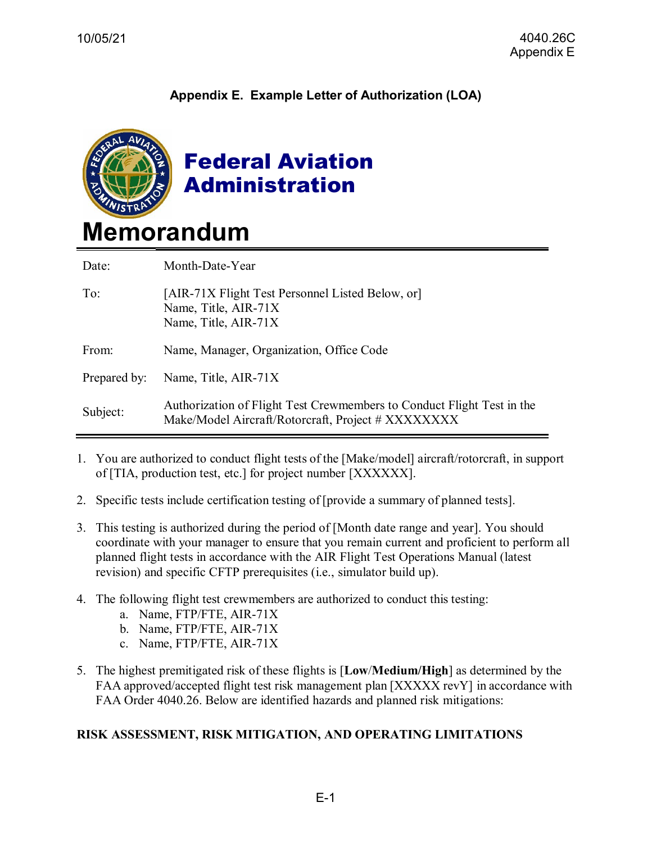# **Appendix E. Example Letter of Authorization (LOA)**



# **Memorandum**

| Date:        | Month-Date-Year                                                                                                              |
|--------------|------------------------------------------------------------------------------------------------------------------------------|
| To:          | [AIR-71X Flight Test Personnel Listed Below, or]<br>Name, Title, AIR-71X<br>Name, Title, AIR-71X                             |
| From:        | Name, Manager, Organization, Office Code                                                                                     |
| Prepared by: | Name, Title, AIR-71X                                                                                                         |
| Subject:     | Authorization of Flight Test Crewmembers to Conduct Flight Test in the<br>Make/Model Aircraft/Rotorcraft, Project # XXXXXXXX |

- 1. You are authorized to conduct flight tests of the [Make/model] aircraft/rotorcraft, in support of [TIA, production test, etc.] for project number [XXXXXX].
- 2. Specific tests include certification testing of [provide a summary of planned tests].
- 3. This testing is authorized during the period of [Month date range and year]. You should coordinate with your manager to ensure that you remain current and proficient to perform all planned flight tests in accordance with the AIR Flight Test Operations Manual (latest revision) and specific CFTP prerequisites (i.e., simulator build up).
- 4. The following flight test crewmembers are authorized to conduct this testing:
	- a. Name, FTP/FTE, AIR-71X
	- b. Name, FTP/FTE, AIR-71X
	- c. Name, FTP/FTE, AIR-71X
- 5. The highest premitigated risk of these flights is [**Low**/**Medium/High**] as determined by the FAA approved/accepted flight test risk management plan [XXXXX revY] in accordance with FAA Order 4040.26. Below are identified hazards and planned risk mitigations:

# **RISK ASSESSMENT, RISK MITIGATION, AND OPERATING LIMITATIONS**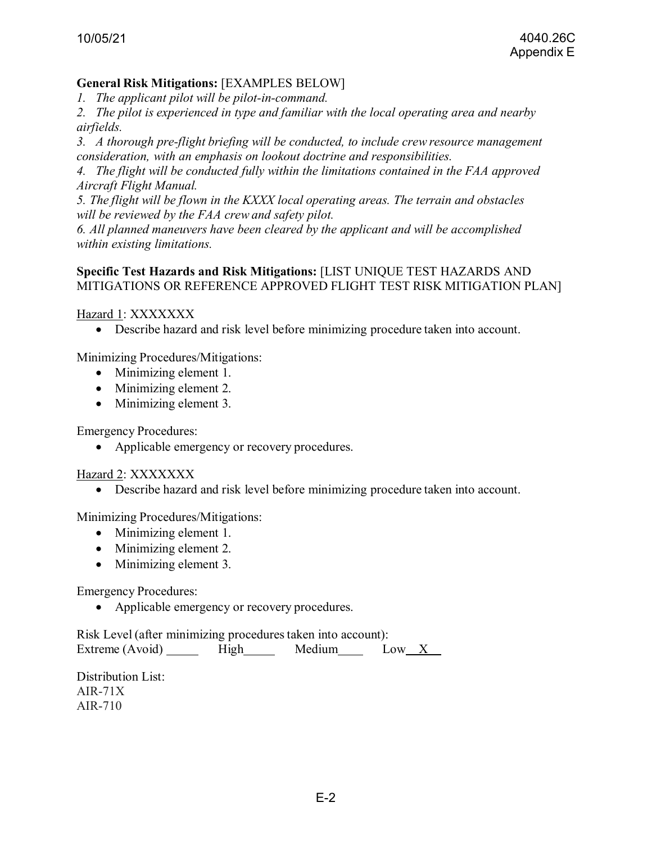# **General Risk Mitigations:** [EXAMPLES BELOW]

*1. The applicant pilot will be pilot-in-command.*

*2. The pilot is experienced in type and familiar with the local operating area and nearby airfields.*

*3. A thorough pre-flight briefing will be conducted, to include crew resource management consideration, with an emphasis on lookout doctrine and responsibilities.*

*4. The flight will be conducted fully within the limitations contained in the FAA approved Aircraft Flight Manual.*

*5. The flight will be flown in the KXXX local operating areas. The terrain and obstacles will be reviewed by the FAA crew and safety pilot.*

*6. All planned maneuvers have been cleared by the applicant and will be accomplished within existing limitations.*

## **Specific Test Hazards and Risk Mitigations:** [LIST UNIQUE TEST HAZARDS AND MITIGATIONS OR REFERENCE APPROVED FLIGHT TEST RISK MITIGATION PLAN]

# Hazard 1: XXXXXXX

• Describe hazard and risk level before minimizing procedure taken into account.

Minimizing Procedures/Mitigations:

- Minimizing element 1.
- Minimizing element 2.
- Minimizing element 3.

Emergency Procedures:

• Applicable emergency or recovery procedures.

#### Hazard 2: XXXXXXX

• Describe hazard and risk level before minimizing procedure taken into account.

Minimizing Procedures/Mitigations:

- Minimizing element 1.
- Minimizing element 2.
- Minimizing element 3.

Emergency Procedures:

• Applicable emergency or recovery procedures.

Risk Level (after minimizing procedures taken into account): Extreme (Avoid) \_\_\_\_\_\_\_ High\_\_\_\_\_\_ Medium Low  $X$ 

Distribution List: AIR-71X AIR-710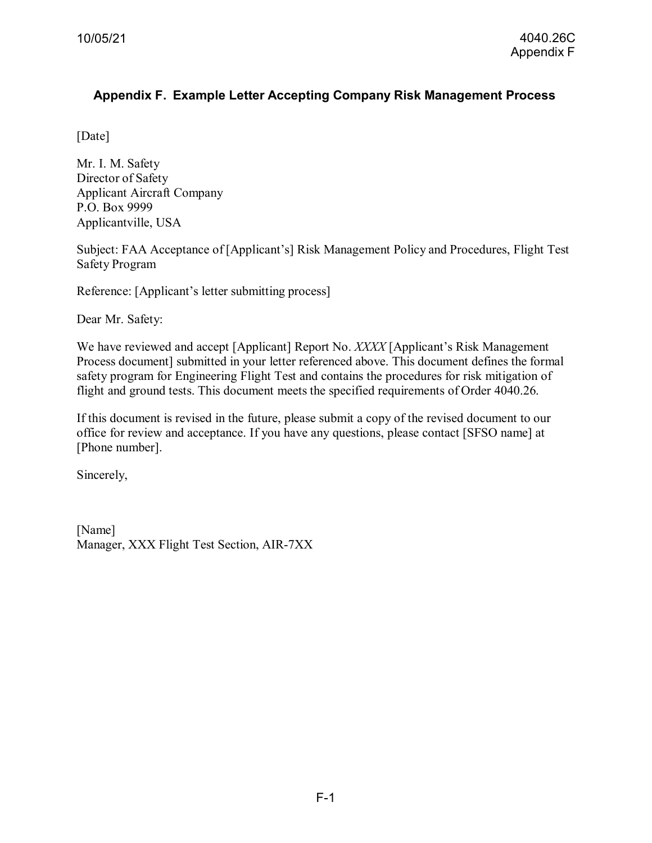# **Appendix F. Example Letter Accepting Company Risk Management Process**

[Date]

Mr. I. M. Safety Director of Safety Applicant Aircraft Company P.O. Box 9999 Applicantville, USA

Subject: FAA Acceptance of [Applicant's] Risk Management Policy and Procedures, Flight Test Safety Program

Reference: [Applicant's letter submitting process]

Dear Mr. Safety:

We have reviewed and accept [Applicant] Report No. *XXXX* [Applicant's Risk Management Process document] submitted in your letter referenced above. This document defines the formal safety program for Engineering Flight Test and contains the procedures for risk mitigation of flight and ground tests. This document meets the specified requirements of Order 4040.26.

If this document is revised in the future, please submit a copy of the revised document to our office for review and acceptance. If you have any questions, please contact [SFSO name] at [Phone number].

Sincerely,

[Name] Manager, XXX Flight Test Section, AIR-7XX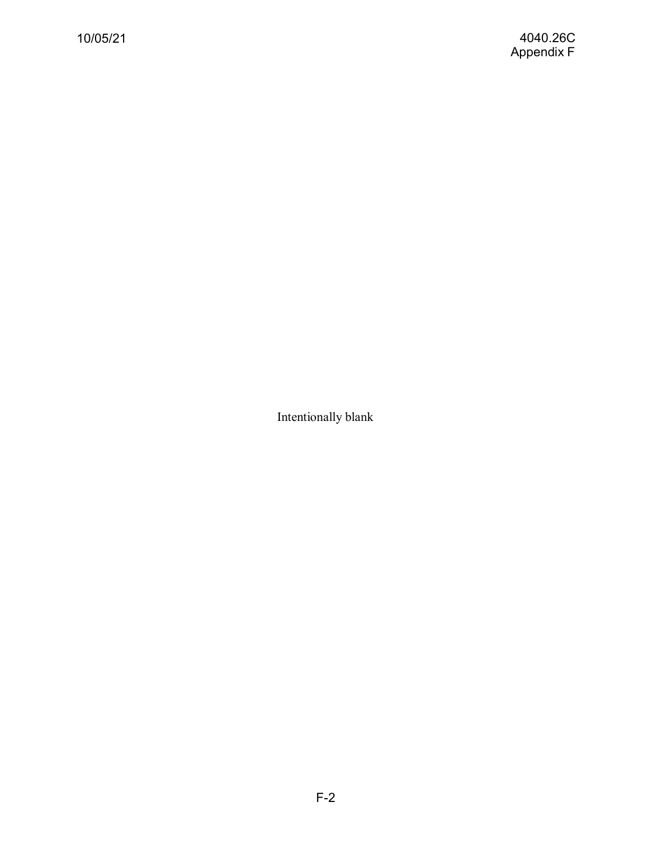Intentionally blank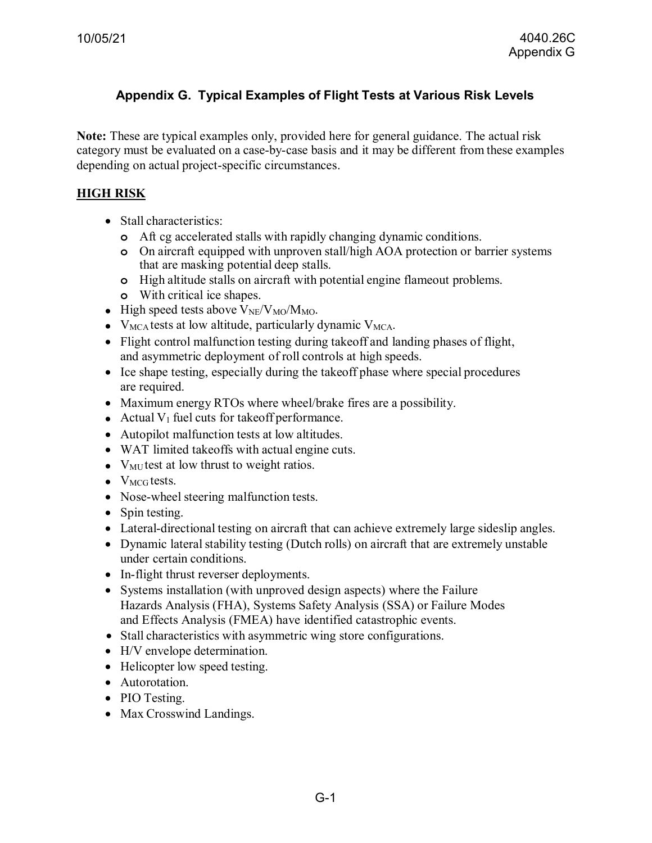# **Appendix G. Typical Examples of Flight Tests at Various Risk Levels**

**Note:** These are typical examples only, provided here for general guidance. The actual risk category must be evaluated on a case-by-case basis and it may be different from these examples depending on actual project-specific circumstances.

# **HIGH RISK**

- Stall characteristics:
	- **o** Aft cg accelerated stalls with rapidly changing dynamic conditions.
	- **o** On aircraft equipped with unproven stall/high AOA protection or barrier systems that are masking potential deep stalls.
	- **o** High altitude stalls on aircraft with potential engine flameout problems.
	- **o** With critical ice shapes.
- High speed tests above  $V_{NE}/V_{MO}/M_{MO}$ .
- $V_{MCA}$  tests at low altitude, particularly dynamic  $V_{MCA}$ .
- Flight control malfunction testing during takeoff and landing phases of flight, and asymmetric deployment of roll controls at high speeds.
- Ice shape testing, especially during the takeoff phase where special procedures are required.
- Maximum energy RTOs where wheel/brake fires are a possibility.
- Actual  $V_1$  fuel cuts for takeoff performance.
- Autopilot malfunction tests at low altitudes.
- WAT limited takeoffs with actual engine cuts.
- $V_{\text{MU}}$  test at low thrust to weight ratios.
- $V_{MCG}$  tests.
- Nose-wheel steering malfunction tests.
- Spin testing.
- Lateral-directional testing on aircraft that can achieve extremely large sideslip angles.
- Dynamic lateral stability testing (Dutch rolls) on aircraft that are extremely unstable under certain conditions.
- In-flight thrust reverser deployments.
- Systems installation (with unproved design aspects) where the Failure Hazards Analysis (FHA), Systems Safety Analysis (SSA) or Failure Modes and Effects Analysis (FMEA) have identified catastrophic events.
- Stall characteristics with asymmetric wing store configurations.
- H/V envelope determination.
- Helicopter low speed testing.
- Autorotation.
- PIO Testing.
- Max Crosswind Landings.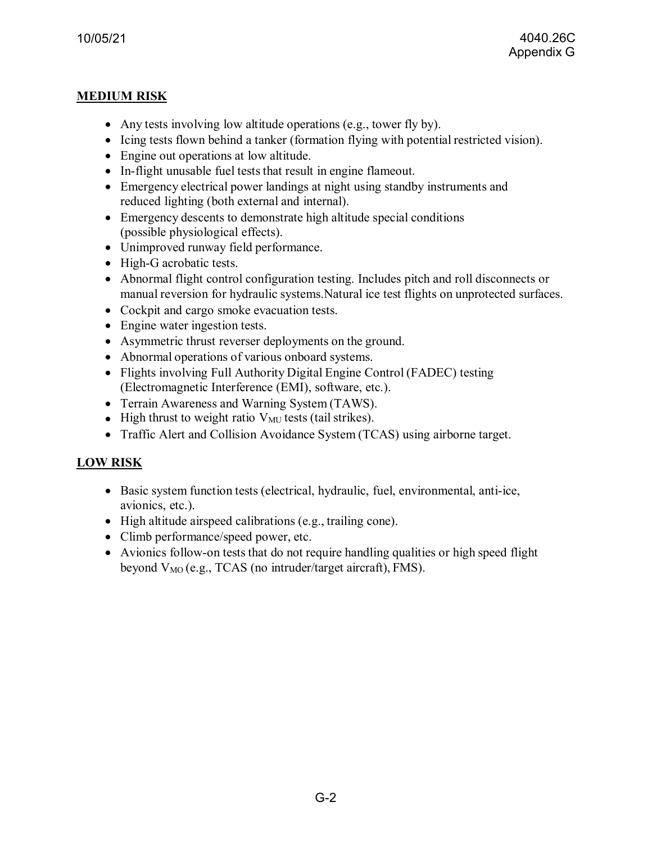# **MEDIUM RISK**

- Any tests involving low altitude operations (e.g., tower fly by).
- Icing tests flown behind a tanker (formation flying with potential restricted vision).
- Engine out operations at low altitude.
- In-flight unusable fuel tests that result in engine flameout.
- Emergency electrical power landings at night using standby instruments and reduced lighting (both external and internal).
- Emergency descents to demonstrate high altitude special conditions (possible physiological effects).
- Unimproved runway field performance.
- High-G acrobatic tests.
- Abnormal flight control configuration testing. Includes pitch and roll disconnects or manual reversion for hydraulic systems.Natural ice test flights on unprotected surfaces.
- Cockpit and cargo smoke evacuation tests.
- Engine water ingestion tests.
- Asymmetric thrust reverser deployments on the ground.
- Abnormal operations of various onboard systems.
- Flights involving Full Authority Digital Engine Control (FADEC) testing (Electromagnetic Interference (EMI), software, etc.).
- Terrain Awareness and Warning System (TAWS).
- High thrust to weight ratio  $V_{MU}$  tests (tail strikes).
- Traffic Alert and Collision Avoidance System (TCAS) using airborne target.

# **LOW RISK**

- Basic system function tests (electrical, hydraulic, fuel, environmental, anti-ice, avionics, etc.).
- High altitude airspeed calibrations (e.g., trailing cone).
- Climb performance/speed power, etc.
- Avionics follow-on tests that do not require handling qualities or high speed flight beyond  $V_{MO}$  (e.g., TCAS (no intruder/target aircraft), FMS).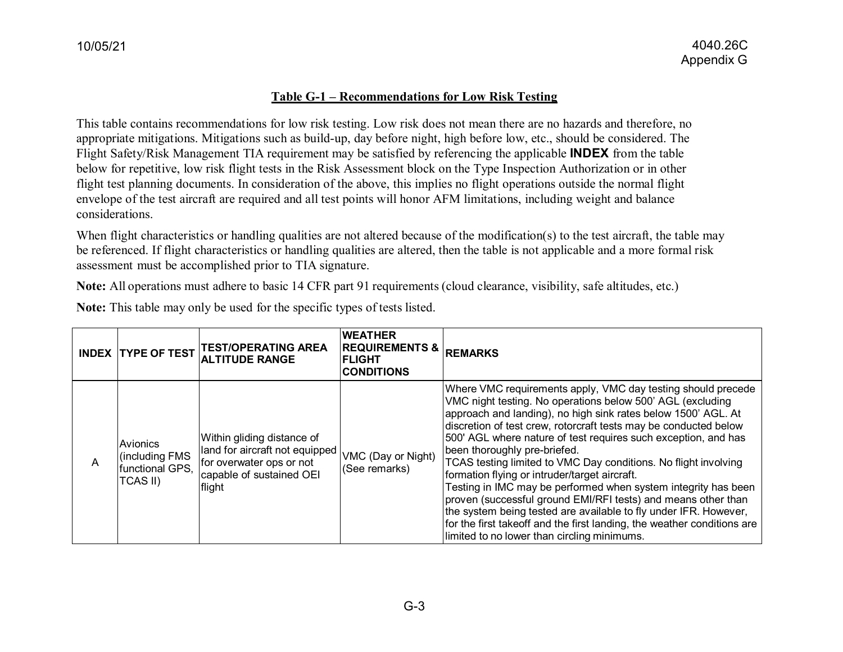#### **Table G-1 – Recommendations for Low Risk Testing**

This table contains recommendations for low risk testing. Low risk does not mean there are no hazards and therefore, no appropriate mitigations. Mitigations such as build-up, day before night, high before low, etc., should be considered. The Flight Safety/Risk Management TIA requirement may be satisfied by referencing the applicable **INDEX** from the table below for repetitive, low risk flight tests in the Risk Assessment block on the Type Inspection Authorization or in other flight test planning documents. In consideration of the above, this implies no flight operations outside the normal flight envelope of the test aircraft are required and all test points will honor AFM limitations, including weight and balance considerations.

When flight characteristics or handling qualities are not altered because of the modification(s) to the test aircraft, the table may be referenced. If flight characteristics or handling qualities are altered, then the table is not applicable and a more formal risk assessment must be accomplished prior to TIA signature.

**Note:** All operations must adhere to basic 14 CFR part 91 requirements (cloud clearance, visibility, safe altitudes, etc.)

|  |  |  |  | Note: This table may only be used for the specific types of tests listed. |
|--|--|--|--|---------------------------------------------------------------------------|
|--|--|--|--|---------------------------------------------------------------------------|

|   | <b>INDEX TYPE OF TEST</b>                                 | <b>TEST/OPERATING AREA</b><br><b>ALTITUDE RANGE</b>                                                                            | <b>WEATHER</b><br><b>REQUIREMENTS &amp;</b><br><b>IFLIGHT</b><br><b>CONDITIONS</b> | <b>REMARKS</b>                                                                                                                                                                                                                                                                                                                                                                                                                                                                                                                                                                                                                                                                                                                                                                                                         |
|---|-----------------------------------------------------------|--------------------------------------------------------------------------------------------------------------------------------|------------------------------------------------------------------------------------|------------------------------------------------------------------------------------------------------------------------------------------------------------------------------------------------------------------------------------------------------------------------------------------------------------------------------------------------------------------------------------------------------------------------------------------------------------------------------------------------------------------------------------------------------------------------------------------------------------------------------------------------------------------------------------------------------------------------------------------------------------------------------------------------------------------------|
| А | Avionics<br>(including FMS<br>functional GPS.<br>TCAS II) | Within gliding distance of<br>land for aircraft not equipped<br>for overwater ops or not<br>capable of sustained OEI<br>flight | VMC (Day or Night)<br>(See remarks)                                                | Where VMC requirements apply, VMC day testing should precede<br>VMC night testing. No operations below 500' AGL (excluding<br>approach and landing), no high sink rates below 1500' AGL. At<br>discretion of test crew, rotorcraft tests may be conducted below<br>500' AGL where nature of test requires such exception, and has<br>been thoroughly pre-briefed.<br>TCAS testing limited to VMC Day conditions. No flight involving<br>formation flying or intruder/target aircraft.<br>Testing in IMC may be performed when system integrity has been<br>proven (successful ground EMI/RFI tests) and means other than<br>the system being tested are available to fly under IFR. However,<br>for the first takeoff and the first landing, the weather conditions are<br>limited to no lower than circling minimums. |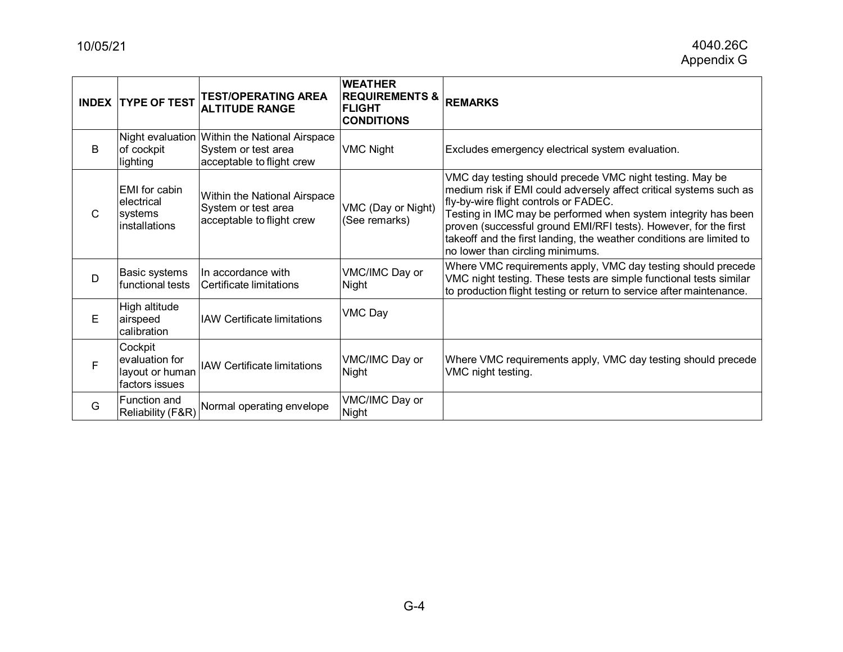|   | <b>INDEX TYPE OF TEST</b>                                      | <b>TEST/OPERATING AREA</b><br><b>ALTITUDE RANGE</b>                              | <b>WEATHER</b><br><b>REQUIREMENTS &amp;</b><br><b>FLIGHT</b><br><b>CONDITIONS</b> | <b>REMARKS</b>                                                                                                                                                                                                                                                                                                                                                                                                            |
|---|----------------------------------------------------------------|----------------------------------------------------------------------------------|-----------------------------------------------------------------------------------|---------------------------------------------------------------------------------------------------------------------------------------------------------------------------------------------------------------------------------------------------------------------------------------------------------------------------------------------------------------------------------------------------------------------------|
| B | Night evaluation<br>of cockpit<br>lighting                     | Within the National Airspace<br>System or test area<br>acceptable to flight crew | <b>VMC Night</b>                                                                  | Excludes emergency electrical system evaluation.                                                                                                                                                                                                                                                                                                                                                                          |
| C | <b>EMI</b> for cabin<br>electrical<br>systems<br>installations | Within the National Airspace<br>System or test area<br>acceptable to flight crew | VMC (Day or Night)<br>(See remarks)                                               | VMC day testing should precede VMC night testing. May be<br>medium risk if EMI could adversely affect critical systems such as<br>fly-by-wire flight controls or FADEC.<br>Testing in IMC may be performed when system integrity has been<br>proven (successful ground EMI/RFI tests). However, for the first<br>takeoff and the first landing, the weather conditions are limited to<br>no lower than circling minimums. |
| D | <b>Basic systems</b><br>functional tests                       | IIn accordance with<br>Certificate limitations                                   | VMC/IMC Day or<br>Night                                                           | Where VMC requirements apply, VMC day testing should precede<br>VMC night testing. These tests are simple functional tests similar<br>to production flight testing or return to service after maintenance.                                                                                                                                                                                                                |
| E | High altitude<br>airspeed<br>calibration                       | <b>IAW Certificate limitations</b>                                               | VMC Day                                                                           |                                                                                                                                                                                                                                                                                                                                                                                                                           |
| F | Cockpit<br>evaluation for<br>layout or human<br>factors issues | <b>IAW Certificate limitations</b>                                               | VMC/IMC Day or<br>Night                                                           | Where VMC requirements apply, VMC day testing should precede<br>VMC night testing.                                                                                                                                                                                                                                                                                                                                        |
| G | Function and<br>Reliability (F&R)                              | Normal operating envelope                                                        | VMC/IMC Day or<br>Night                                                           |                                                                                                                                                                                                                                                                                                                                                                                                                           |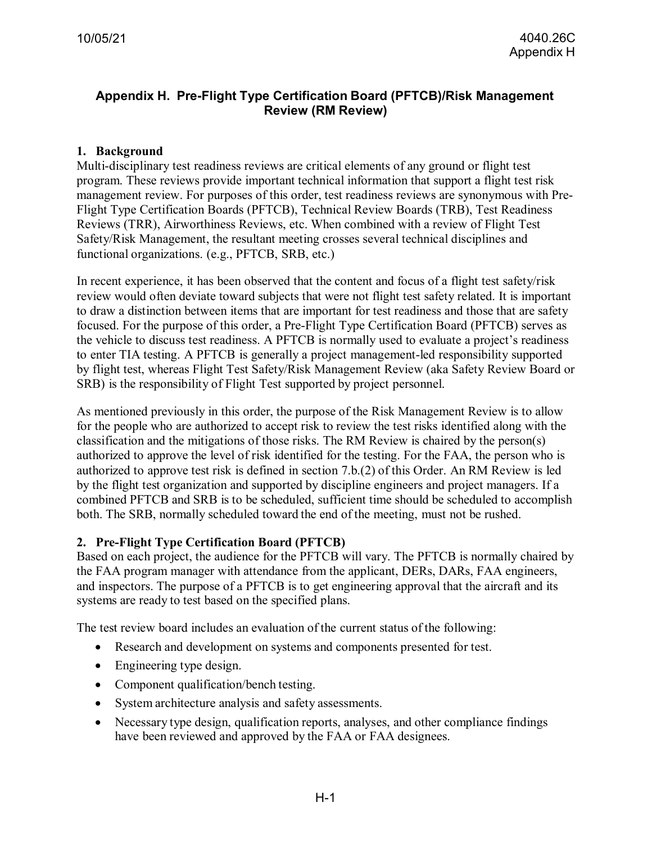# **Appendix H. Pre-Flight Type Certification Board (PFTCB)/Risk Management Review (RM Review)**

## **1. Background**

Multi-disciplinary test readiness reviews are critical elements of any ground or flight test program. These reviews provide important technical information that support a flight test risk management review. For purposes of this order, test readiness reviews are synonymous with Pre-Flight Type Certification Boards (PFTCB), Technical Review Boards (TRB), Test Readiness Reviews (TRR), Airworthiness Reviews, etc. When combined with a review of Flight Test Safety/Risk Management, the resultant meeting crosses several technical disciplines and functional organizations. (e.g., PFTCB, SRB, etc.)

In recent experience, it has been observed that the content and focus of a flight test safety/risk review would often deviate toward subjects that were not flight test safety related. It is important to draw a distinction between items that are important for test readiness and those that are safety focused. For the purpose of this order, a Pre-Flight Type Certification Board (PFTCB) serves as the vehicle to discuss test readiness. A PFTCB is normally used to evaluate a project's readiness to enter TIA testing. A PFTCB is generally a project management-led responsibility supported by flight test, whereas Flight Test Safety/Risk Management Review (aka Safety Review Board or SRB) is the responsibility of Flight Test supported by project personnel.

As mentioned previously in this order, the purpose of the Risk Management Review is to allow for the people who are authorized to accept risk to review the test risks identified along with the classification and the mitigations of those risks. The RM Review is chaired by the person(s) authorized to approve the level of risk identified for the testing. For the FAA, the person who is authorized to approve test risk is defined in section 7.b.(2) of this Order. An RM Review is led by the flight test organization and supported by discipline engineers and project managers. If a combined PFTCB and SRB is to be scheduled, sufficient time should be scheduled to accomplish both. The SRB, normally scheduled toward the end of the meeting, must not be rushed.

# **2. Pre-Flight Type Certification Board (PFTCB)**

Based on each project, the audience for the PFTCB will vary. The PFTCB is normally chaired by the FAA program manager with attendance from the applicant, DERs, DARs, FAA engineers, and inspectors. The purpose of a PFTCB is to get engineering approval that the aircraft and its systems are ready to test based on the specified plans.

The test review board includes an evaluation of the current status of the following:

- Research and development on systems and components presented for test.
- Engineering type design.
- Component qualification/bench testing.
- System architecture analysis and safety assessments.
- Necessary type design, qualification reports, analyses, and other compliance findings have been reviewed and approved by the FAA or FAA designees.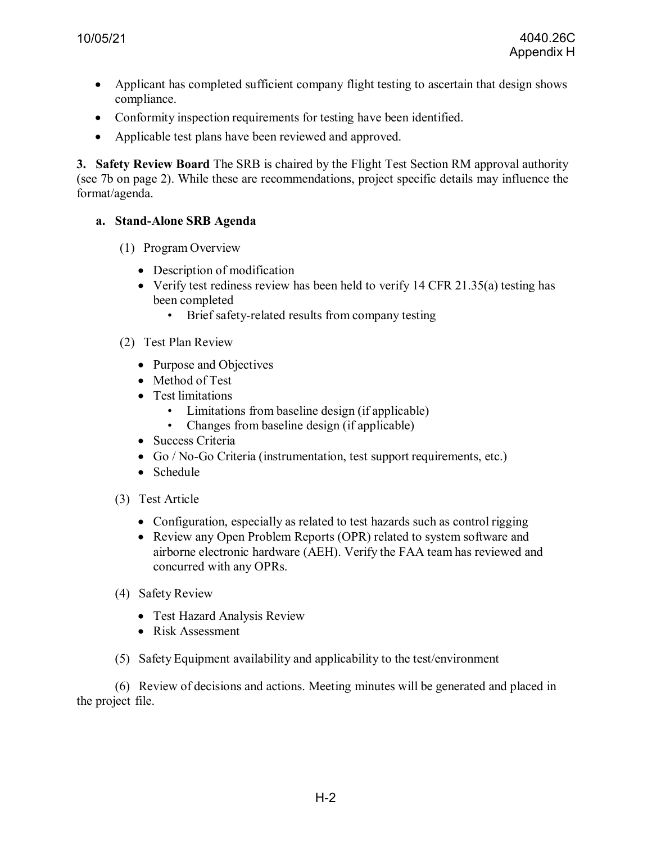- Applicant has completed sufficient company flight testing to ascertain that design shows compliance.
- Conformity inspection requirements for testing have been identified.
- Applicable test plans have been reviewed and approved.

**3. Safety Review Board** The SRB is chaired by the Flight Test Section RM approval authority (see 7b on page 2). While these are recommendations, project specific details may influence the format/agenda.

## **a. Stand-Alone SRB Agenda**

- (1) Program Overview
	- Description of modification
	- Verify test rediness review has been held to verify 14 CFR 21.35(a) testing has been completed
		- Brief safety-related results from company testing
- (2) Test Plan Review
	- Purpose and Objectives
	- Method of Test
	- Test limitations
		- Limitations from baseline design (if applicable)
		- Changes from baseline design (if applicable)
	- Success Criteria
	- Go / No-Go Criteria (instrumentation, test support requirements, etc.)
	- Schedule
- (3) Test Article
	- Configuration, especially as related to test hazards such as control rigging
	- Review any Open Problem Reports (OPR) related to system software and airborne electronic hardware (AEH). Verify the FAA team has reviewed and concurred with any OPRs.
- (4) Safety Review
	- Test Hazard Analysis Review
	- Risk Assessment
- (5) Safety Equipment availability and applicability to the test/environment

(6) Review of decisions and actions. Meeting minutes will be generated and placed in the project file.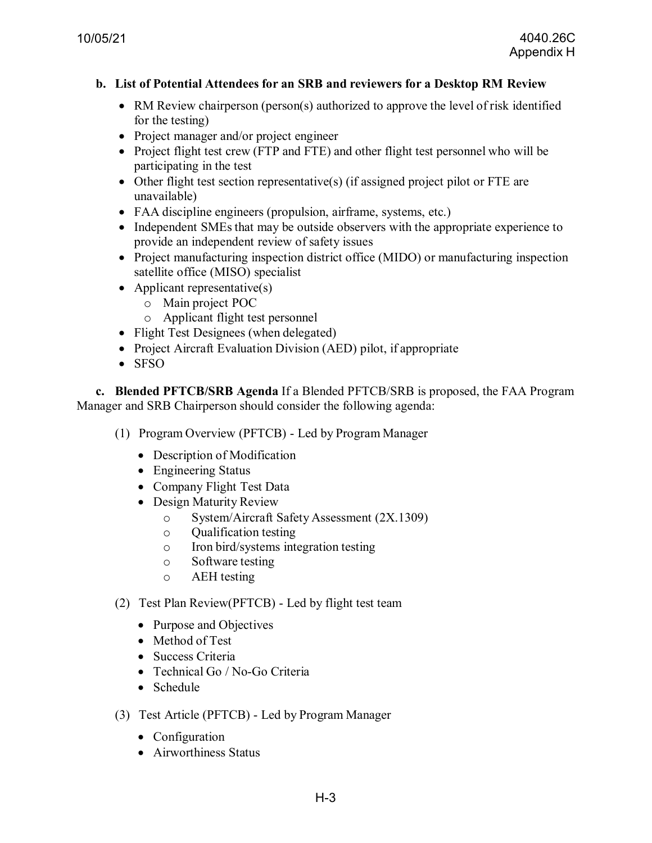### **b. List of Potential Attendees for an SRB and reviewers for a Desktop RM Review**

- RM Review chairperson (person(s) authorized to approve the level of risk identified for the testing)
- Project manager and/or project engineer
- Project flight test crew (FTP and FTE) and other flight test personnel who will be participating in the test
- Other flight test section representative(s) (if assigned project pilot or FTE are unavailable)
- FAA discipline engineers (propulsion, airframe, systems, etc.)
- Independent SMEs that may be outside observers with the appropriate experience to provide an independent review of safety issues
- Project manufacturing inspection district office (MIDO) or manufacturing inspection satellite office (MISO) specialist
- Applicant representative(s)
	- o Main project POC
	- o Applicant flight test personnel
- Flight Test Designees (when delegated)
- Project Aircraft Evaluation Division (AED) pilot, if appropriate
- SFSO

**c. Blended PFTCB/SRB Agenda** If a Blended PFTCB/SRB is proposed, the FAA Program Manager and SRB Chairperson should consider the following agenda:

- (1) Program Overview (PFTCB) Led by Program Manager
	- Description of Modification
	- Engineering Status
	- Company Flight Test Data
	- Design Maturity Review
		- o System/Aircraft Safety Assessment (2X.1309)
		- o Qualification testing
		- o Iron bird/systems integration testing
		- o Software testing
		- o AEH testing
- (2) Test Plan Review(PFTCB) Led by flight test team
	- Purpose and Objectives
	- Method of Test
	- Success Criteria
	- Technical Go / No-Go Criteria
	- Schedule
- (3) Test Article (PFTCB) Led by Program Manager
	- Configuration
	- Airworthiness Status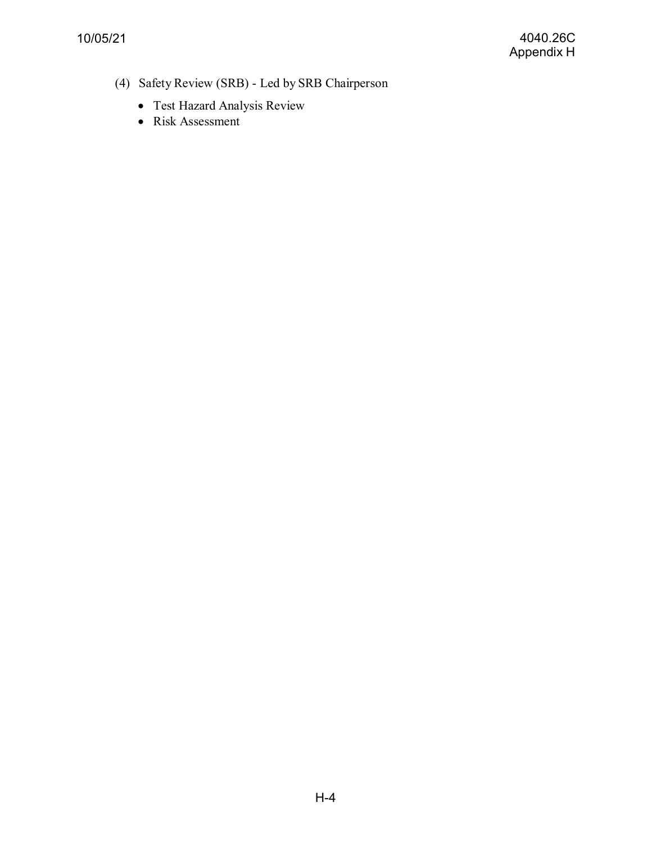- (4) Safety Review (SRB) Led by SRB Chairperson
	- Test Hazard Analysis Review
	- Risk Assessment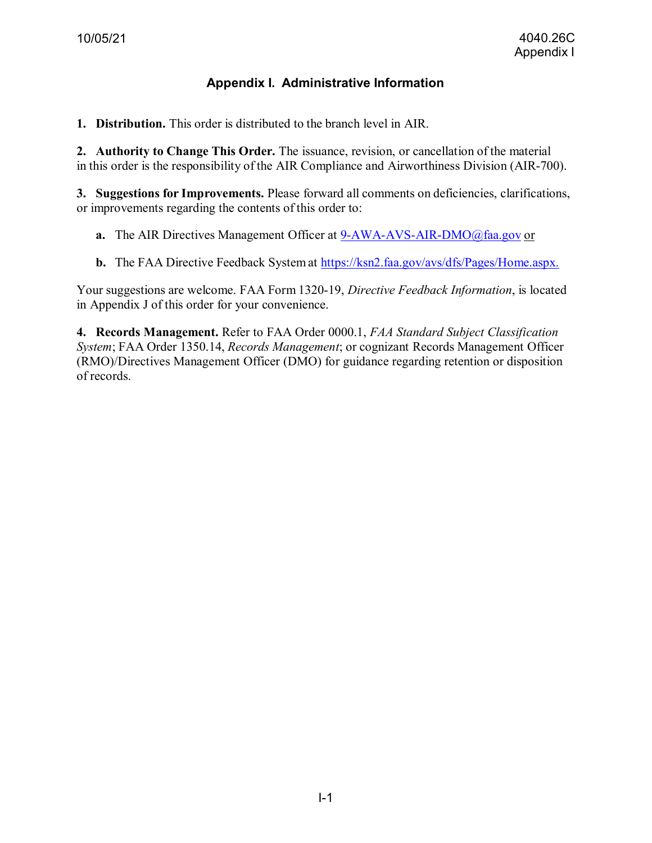# **Appendix I. Administrative Information**

**1. Distribution.** This order is distributed to the branch level in AIR.

**2. Authority to Change This Order.** The issuance, revision, or cancellation of the material in this order is the responsibility of the AIR Compliance and Airworthiness Division (AIR-700).

**3. Suggestions for Improvements.** Please forward all comments on deficiencies, clarifications, or improvements regarding the contents of this order to:

- **a.** The AIR Directives Management Officer at [9-AWA-AVS-AIR-DMO@faa.gov](mailto:9-AWA-AVS-AIR-DMO@faa.gov) or
- **b.** The FAA Directive [Feedback](https://ksn2.faa.gov/avs/dfs/Pages/Home.aspx) System at [https://ksn2.faa.gov/avs/dfs/Pages/Home.aspx.](https://ksn2.faa.gov/avs/dfs/Pages/Home.aspx)

Your suggestions are welcome. FAA Form 1320-19, *Directive Feedback Information*, is located in Appendix J of this order for your convenience.

**4. Records Management.** Refer to FAA Order 0000.1, *FAA Standard Subject Classification System*; FAA Order 1350.14, *Records Management*; or cognizant Records Management Officer (RMO)/Directives Management Officer (DMO) for guidance regarding retention or disposition of records.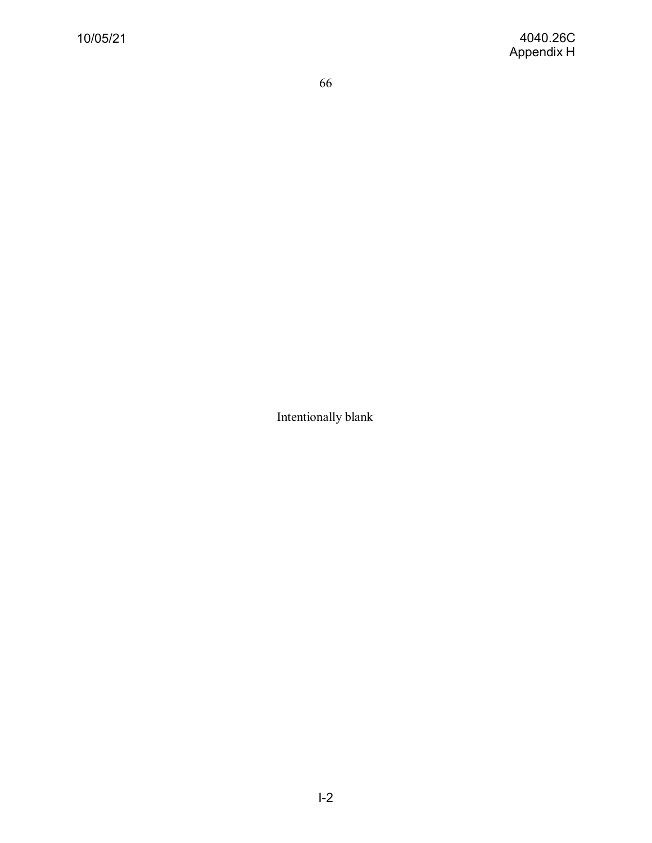66

Intentionally blank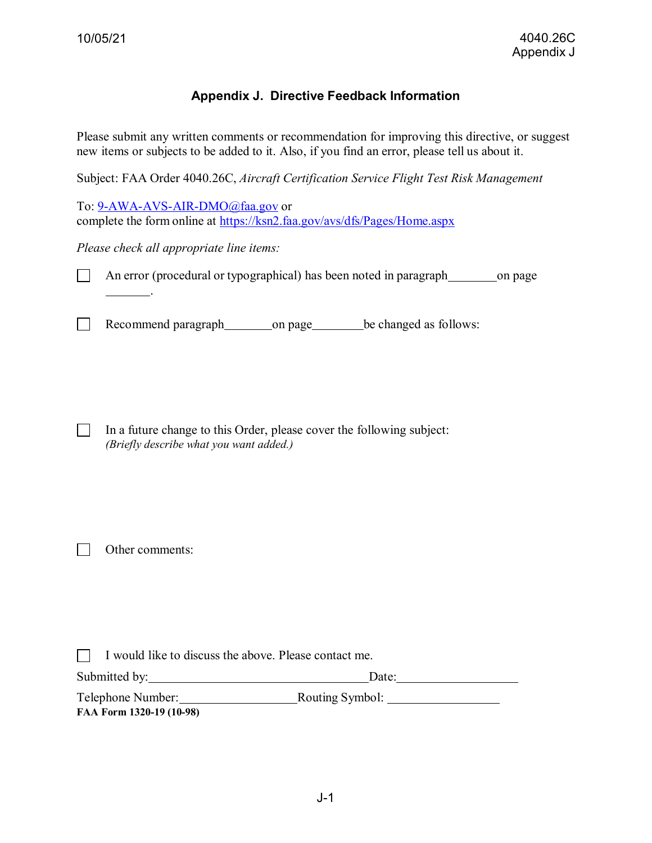# **Appendix J. Directive Feedback Information**

Please submit any written comments or recommendation for improving this directive, or suggest new items or subjects to be added to it. Also, if you find an error, please tell us about it.

Subject: FAA Order 4040.26C, *Aircraft Certification Service Flight Test Risk Management*

To: [9-AWA-AVS-AIR-DMO@faa.gov](mailto:9-AWA-AVS-AIR-DMO@faa.gov) or complete the form online at <https://ksn2.faa.gov/avs/dfs/Pages/Home.aspx>

*Please check all appropriate line items:*

.

 $\Box$ 

 $\Box$ 

An error (procedural or typographical) has been noted in paragraph\_\_\_\_\_\_\_\_\_\_on page  $\mathbb{R}^n$ 

Recommend paragraph on page be changed as follows:  $\perp$ 

In a future change to this Order, please cover the following subject: *(Briefly describe what you want added.)*

Other comments:

| Submitted by:     | Date:                  |
|-------------------|------------------------|
| Telephone Number: | <b>Routing Symbol:</b> |

**FAA Form 1320-19 (10-98)**